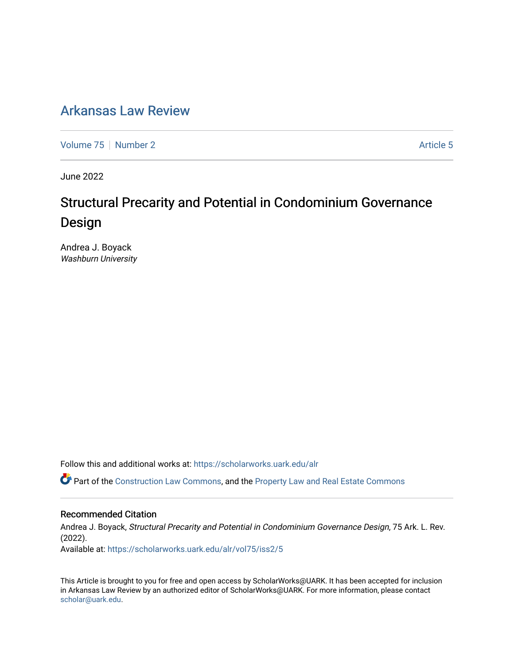## [Arkansas Law Review](https://scholarworks.uark.edu/alr)

[Volume 75](https://scholarworks.uark.edu/alr/vol75) [Number 2](https://scholarworks.uark.edu/alr/vol75/iss2) Article 5

June 2022

# Structural Precarity and Potential in Condominium Governance Design

Andrea J. Boyack Washburn University

Follow this and additional works at: [https://scholarworks.uark.edu/alr](https://scholarworks.uark.edu/alr?utm_source=scholarworks.uark.edu%2Falr%2Fvol75%2Fiss2%2F5&utm_medium=PDF&utm_campaign=PDFCoverPages) 

Part of the [Construction Law Commons,](https://network.bepress.com/hgg/discipline/590?utm_source=scholarworks.uark.edu%2Falr%2Fvol75%2Fiss2%2F5&utm_medium=PDF&utm_campaign=PDFCoverPages) and the [Property Law and Real Estate Commons](https://network.bepress.com/hgg/discipline/897?utm_source=scholarworks.uark.edu%2Falr%2Fvol75%2Fiss2%2F5&utm_medium=PDF&utm_campaign=PDFCoverPages) 

#### Recommended Citation

Andrea J. Boyack, Structural Precarity and Potential in Condominium Governance Design, 75 Ark. L. Rev. (2022).

Available at: [https://scholarworks.uark.edu/alr/vol75/iss2/5](https://scholarworks.uark.edu/alr/vol75/iss2/5?utm_source=scholarworks.uark.edu%2Falr%2Fvol75%2Fiss2%2F5&utm_medium=PDF&utm_campaign=PDFCoverPages)

This Article is brought to you for free and open access by ScholarWorks@UARK. It has been accepted for inclusion in Arkansas Law Review by an authorized editor of ScholarWorks@UARK. For more information, please contact [scholar@uark.edu](mailto:scholar@uark.edu).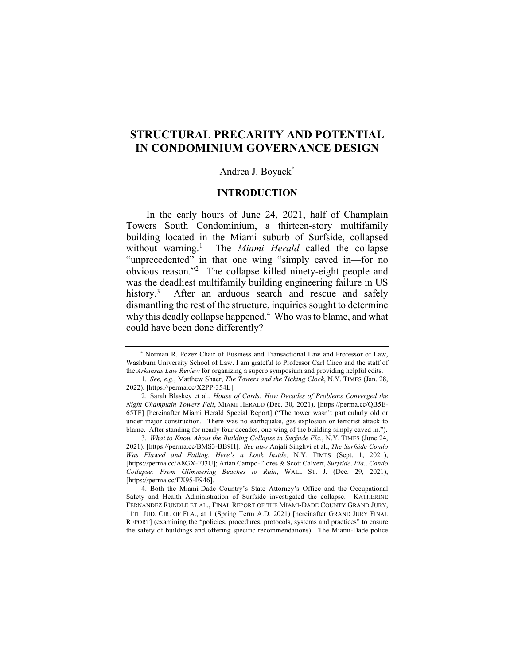### **STRUCTURAL PRECARITY AND POTENTIAL IN CONDOMINIUM GOVERNANCE DESIGN**

#### Andrea J. Boyack\*

#### **INTRODUCTION**

In the early hours of June 24, 2021, half of Champlain Towers South Condominium, a thirteen-story multifamily building located in the Miami suburb of Surfside, collapsed without warning.<sup>1</sup> The *Miami Herald* called the collapse "unprecedented" in that one wing "simply caved in––for no obvious reason."2 The collapse killed ninety-eight people and was the deadliest multifamily building engineering failure in US history.<sup>3</sup> After an arduous search and rescue and safely dismantling the rest of the structure, inquiries sought to determine why this deadly collapse happened.<sup>4</sup> Who was to blame, and what could have been done differently?

 <sup>\*</sup> Norman R. Pozez Chair of Business and Transactional Law and Professor of Law, Washburn University School of Law. I am grateful to Professor Carl Circo and the staff of the *Arkansas Law Review* for organizing a superb symposium and providing helpful edits.

<sup>1</sup>*. See, e.g.*, Matthew Shaer, *The Towers and the Ticking Clock*, N.Y. TIMES (Jan. 28, 2022), [https://perma.cc/X2PP-354L].

<sup>2.</sup> Sarah Blaskey et al., *House of Cards: How Decades of Problems Converged the Night Champlain Towers Fell*, MIAMI HERALD (Dec. 30, 2021), [https://perma.cc/QB5E-65TF] [hereinafter Miami Herald Special Report] ("The tower wasn't particularly old or under major construction. There was no earthquake, gas explosion or terrorist attack to blame. After standing for nearly four decades, one wing of the building simply caved in.").

<sup>3</sup>*. What to Know About the Building Collapse in Surfside Fla.*, N.Y. TIMES (June 24, 2021), [https://perma.cc/BMS3-BB9H]. *See also* Anjali Singhvi et al., *The Surfside Condo Was Flawed and Failing. Here's a Look Inside,* N.Y. TIMES (Sept. 1, 2021), [https://perma.cc/A8GX-FJ3U]; Arian Campo-Flores & Scott Calvert, *Surfside, Fla., Condo Collapse: From Glimmering Beaches to Ruin*, WALL ST. J. (Dec. 29, 2021), [https://perma.cc/FX95-E946].

<sup>4.</sup> Both the Miami-Dade Country's State Attorney's Office and the Occupational Safety and Health Administration of Surfside investigated the collapse. KATHERINE FERNANDEZ RUNDLE ET AL., FINAL REPORT OF THE MIAMI-DADE COUNTY GRAND JURY, 11TH JUD. CIR. OF FLA., at 1 (Spring Term A.D. 2021) [hereinafter GRAND JURY FINAL REPORT] (examining the "policies, procedures, protocols, systems and practices" to ensure the safety of buildings and offering specific recommendations). The Miami-Dade police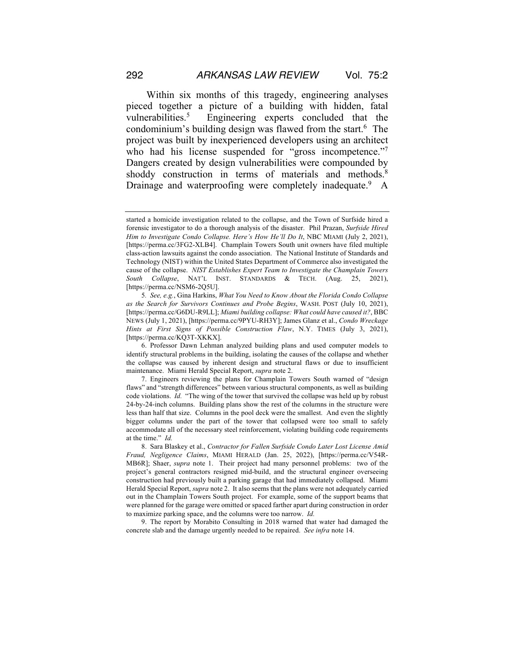Within six months of this tragedy, engineering analyses pieced together a picture of a building with hidden, fatal vulnerabilities.<sup>5</sup> Engineering experts concluded that the condominium's building design was flawed from the start.<sup>6</sup> The project was built by inexperienced developers using an architect who had his license suspended for "gross incompetence."7 Dangers created by design vulnerabilities were compounded by shoddy construction in terms of materials and methods.<sup>8</sup> Drainage and waterproofing were completely inadequate.<sup>9</sup> A

started a homicide investigation related to the collapse, and the Town of Surfside hired a forensic investigator to do a thorough analysis of the disaster. Phil Prazan, *Surfside Hired Him to Investigate Condo Collapse. Here's How He'll Do It*, NBC MIAMI (July 2, 2021), [https://perma.cc/3FG2-XLB4]. Champlain Towers South unit owners have filed multiple class-action lawsuits against the condo association. The National Institute of Standards and Technology (NIST) within the United States Department of Commerce also investigated the cause of the collapse. *NIST Establishes Expert Team to Investigate the Champlain Towers South Collapse*, NAT'L INST. STANDARDS & TECH. (Aug. 25, 2021), [https://perma.cc/NSM6-2Q5U].

<sup>5</sup>*. See, e.g.*, Gina Harkins, *What You Need to Know About the Florida Condo Collapse as the Search for Survivors Continues and Probe Begins*, WASH. POST (July 10, 2021), [https://perma.cc/G6DU-R9LL]; *Miami building collapse: What could have caused it?*, BBC NEWS (July 1, 2021), [https://perma.cc/9PYU-RH3Y]; James Glanz et al., *Condo Wreckage Hints at First Signs of Possible Construction Flaw*, N.Y. TIMES (July 3, 2021), [https://perma.cc/KQ3T-XKKX].

<sup>6.</sup> Professor Dawn Lehman analyzed building plans and used computer models to identify structural problems in the building, isolating the causes of the collapse and whether the collapse was caused by inherent design and structural flaws or due to insufficient maintenance. Miami Herald Special Report, *supra* note 2.

<sup>7.</sup> Engineers reviewing the plans for Champlain Towers South warned of "design flaws" and "strength differences" between various structural components, as well as building code violations. *Id.* "The wing of the tower that survived the collapse was held up by robust 24-by-24-inch columns. Building plans show the rest of the columns in the structure were less than half that size. Columns in the pool deck were the smallest. And even the slightly bigger columns under the part of the tower that collapsed were too small to safely accommodate all of the necessary steel reinforcement, violating building code requirements at the time." *Id.*

<sup>8.</sup> Sara Blaskey et al., *Contractor for Fallen Surfside Condo Later Lost License Amid Fraud, Negligence Claims*, MIAMI HERALD (Jan. 25, 2022), [https://perma.cc/V54R-MB6R]; Shaer, *supra* note 1. Their project had many personnel problems: two of the project's general contractors resigned mid-build, and the structural engineer overseeing construction had previously built a parking garage that had immediately collapsed. Miami Herald Special Report, *supra* note 2. It also seems that the plans were not adequately carried out in the Champlain Towers South project. For example, some of the support beams that were planned for the garage were omitted or spaced farther apart during construction in order to maximize parking space, and the columns were too narrow. *Id.* 

<sup>9.</sup> The report by Morabito Consulting in 2018 warned that water had damaged the concrete slab and the damage urgently needed to be repaired. *See infra* note 14.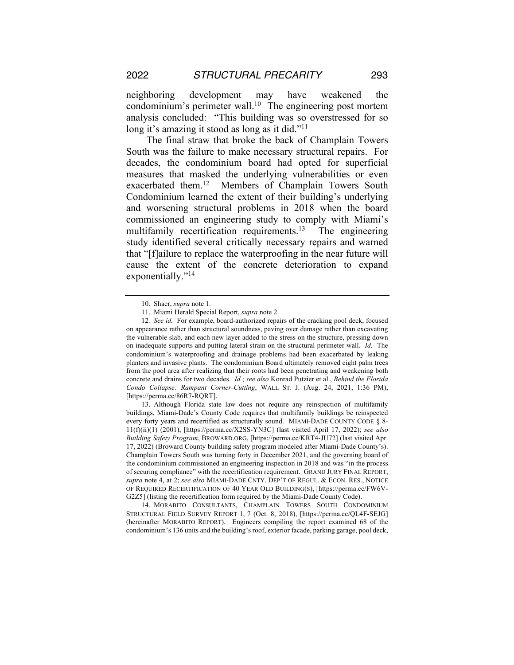neighboring development may have weakened the condominium's perimeter wall.<sup>10</sup> The engineering post mortem analysis concluded: "This building was so overstressed for so long it's amazing it stood as long as it did."<sup>11</sup>

The final straw that broke the back of Champlain Towers South was the failure to make necessary structural repairs. For decades, the condominium board had opted for superficial measures that masked the underlying vulnerabilities or even exacerbated them.12 Members of Champlain Towers South Condominium learned the extent of their building's underlying and worsening structural problems in 2018 when the board commissioned an engineering study to comply with Miami's multifamily recertification requirements.<sup>13</sup> The engineering study identified several critically necessary repairs and warned that "[f]ailure to replace the waterproofing in the near future will cause the extent of the concrete deterioration to expand exponentially."<sup>14</sup>

13. Although Florida state law does not require any reinspection of multifamily buildings, Miami-Dade's County Code requires that multifamily buildings be reinspected every forty years and recertified as structurally sound. MIAMI-DADE COUNTY CODE § 8- 11(f)(ii)(1) (2001), [https://perma.cc/X2SS-YN3C] (last visited April 17, 2022); *see also Building Safety Program*, BROWARD.ORG, [https://perma.cc/KRT4-JU72] (last visited Apr. 17, 2022) (Broward County building safety program modeled after Miami-Dade County's). Champlain Towers South was turning forty in December 2021, and the governing board of the condominium commissioned an engineering inspection in 2018 and was "in the process of securing compliance" with the recertification requirement. GRAND JURY FINAL REPORT, *supra* note 4, at 2; *see also* MIAMI-DADE CNTY. DEP'T OF REGUL. & ECON. RES., NOTICE OF REQUIRED RECERTIFICATION OF 40 YEAR OLD BUILDING(S), [https://perma.cc/FW6V-G2Z5] (listing the recertification form required by the Miami-Dade County Code).

14. MORABITO CONSULTANTS, CHAMPLAIN TOWERS SOUTH CONDOMINIUM STRUCTURAL FIELD SURVEY REPORT 1, 7 (Oct. 8, 2018), [https://perma.cc/QL4F-SEJG] (hereinafter MORABITO REPORT). Engineers compiling the report examined 68 of the condominium's 136 units and the building's roof, exterior facade, parking garage, pool deck,

<sup>10.</sup> Shaer, *supra* note 1.

<sup>11.</sup> Miami Herald Special Report, *supra* note 2.

<sup>12</sup>*. See id.* For example, board-authorized repairs of the cracking pool deck, focused on appearance rather than structural soundness, paving over damage rather than excavating the vulnerable slab, and each new layer added to the stress on the structure, pressing down on inadequate supports and putting lateral strain on the structural perimeter wall. *Id.* The condominium's waterproofing and drainage problems had been exacerbated by leaking planters and invasive plants. The condominium Board ultimately removed eight palm trees from the pool area after realizing that their roots had been penetrating and weakening both concrete and drains for two decades. *Id.*; *see also* Konrad Putzier et al., *Behind the Florida Condo Collapse: Rampant Corner-Cutting*, WALL ST. J. (Aug. 24, 2021, 1:36 PM), [https://perma.cc/86R7-RQRT].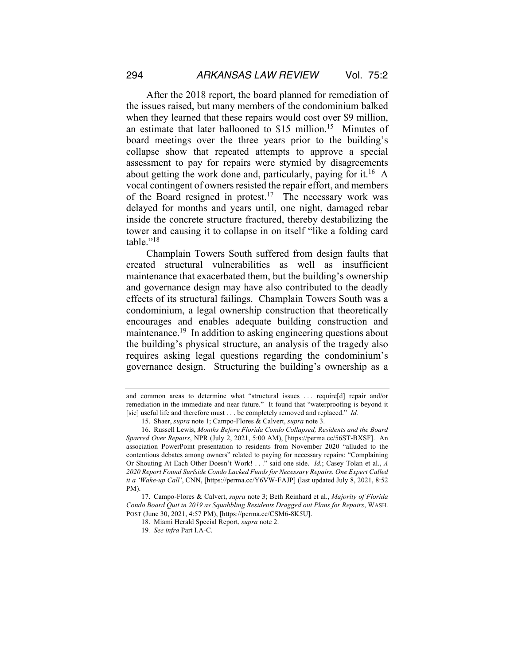After the 2018 report, the board planned for remediation of the issues raised, but many members of the condominium balked when they learned that these repairs would cost over \$9 million, an estimate that later ballooned to  $$15$  million.<sup>15</sup> Minutes of board meetings over the three years prior to the building's collapse show that repeated attempts to approve a special assessment to pay for repairs were stymied by disagreements about getting the work done and, particularly, paying for it.<sup>16</sup> A vocal contingent of owners resisted the repair effort, and members of the Board resigned in protest.<sup>17</sup> The necessary work was delayed for months and years until, one night, damaged rebar inside the concrete structure fractured, thereby destabilizing the tower and causing it to collapse in on itself "like a folding card table."18

Champlain Towers South suffered from design faults that created structural vulnerabilities as well as insufficient maintenance that exacerbated them, but the building's ownership and governance design may have also contributed to the deadly effects of its structural failings. Champlain Towers South was a condominium, a legal ownership construction that theoretically encourages and enables adequate building construction and maintenance.19 In addition to asking engineering questions about the building's physical structure, an analysis of the tragedy also requires asking legal questions regarding the condominium's governance design. Structuring the building's ownership as a

and common areas to determine what "structural issues . . . require[d] repair and/or remediation in the immediate and near future." It found that "waterproofing is beyond it [sic] useful life and therefore must . . . be completely removed and replaced." *Id.* 

<sup>15.</sup> Shaer, *supra* note 1; Campo-Flores & Calvert, *supra* note 3.

<sup>16.</sup> Russell Lewis, *Months Before Florida Condo Collapsed, Residents and the Board Sparred Over Repairs*, NPR (July 2, 2021, 5:00 AM), [https://perma.cc/56ST-BXSF]. An association PowerPoint presentation to residents from November 2020 "alluded to the contentious debates among owners" related to paying for necessary repairs: "Complaining Or Shouting At Each Other Doesn't Work! . . ." said one side. *Id.*; Casey Tolan et al., *A 2020 Report Found Surfside Condo Lacked Funds for Necessary Repairs. One Expert Called it a 'Wake-up Call'*, CNN, [https://perma.cc/Y6VW-FAJP] (last updated July 8, 2021, 8:52 PM).

<sup>17.</sup> Campo-Flores & Calvert, *supra* note 3; Beth Reinhard et al., *Majority of Florida Condo Board Quit in 2019 as Squabbling Residents Dragged out Plans for Repairs*, WASH. POST (June 30, 2021, 4:57 PM), [https://perma.cc/CSM6-8K5U].

<sup>18.</sup> Miami Herald Special Report, *supra* note 2.

<sup>19</sup>*. See infra* Part I.A-C.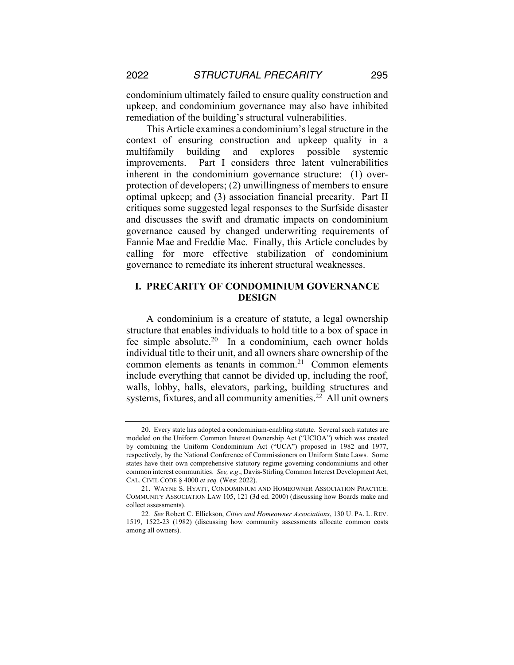condominium ultimately failed to ensure quality construction and upkeep, and condominium governance may also have inhibited remediation of the building's structural vulnerabilities.

This Article examines a condominium's legal structure in the context of ensuring construction and upkeep quality in a multifamily building and explores possible systemic improvements. Part I considers three latent vulnerabilities inherent in the condominium governance structure: (1) overprotection of developers; (2) unwillingness of members to ensure optimal upkeep; and (3) association financial precarity. Part II critiques some suggested legal responses to the Surfside disaster and discusses the swift and dramatic impacts on condominium governance caused by changed underwriting requirements of Fannie Mae and Freddie Mac. Finally, this Article concludes by calling for more effective stabilization of condominium governance to remediate its inherent structural weaknesses.

#### **I. PRECARITY OF CONDOMINIUM GOVERNANCE DESIGN**

A condominium is a creature of statute, a legal ownership structure that enables individuals to hold title to a box of space in fee simple absolute.20 In a condominium, each owner holds individual title to their unit, and all owners share ownership of the common elements as tenants in common.<sup>21</sup> Common elements include everything that cannot be divided up, including the roof, walls, lobby, halls, elevators, parking, building structures and systems, fixtures, and all community amenities.<sup>22</sup> All unit owners

<sup>20.</sup> Every state has adopted a condominium-enabling statute. Several such statutes are modeled on the Uniform Common Interest Ownership Act ("UCIOA") which was created by combining the Uniform Condominium Act ("UCA") proposed in 1982 and 1977, respectively, by the National Conference of Commissioners on Uniform State Laws. Some states have their own comprehensive statutory regime governing condominiums and other common interest communities. *See, e.g*., Davis-Stirling Common Interest Development Act, CAL. CIVIL CODE § 4000 *et seq.* (West 2022).

<sup>21.</sup> WAYNE S. HYATT, CONDOMINIUM AND HOMEOWNER ASSOCIATION PRACTICE: COMMUNITY ASSOCIATION LAW 105, 121 (3d ed. 2000) (discussing how Boards make and collect assessments).

<sup>22</sup>*. See* Robert C. Ellickson, *Cities and Homeowner Associations*, 130 U. PA. L. REV. 1519, 1522-23 (1982) (discussing how community assessments allocate common costs among all owners).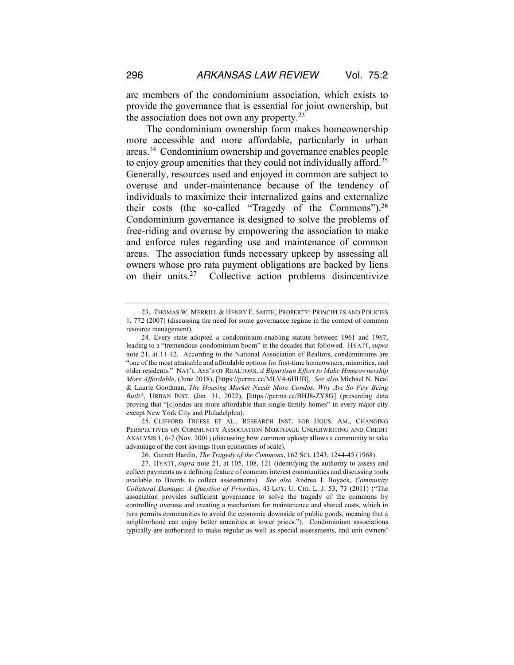are members of the condominium association, which exists to provide the governance that is essential for joint ownership, but the association does not own any property.<sup>23</sup>

The condominium ownership form makes homeownership more accessible and more affordable, particularly in urban areas.24 Condominium ownership and governance enables people to enjoy group amenities that they could not individually afford.<sup>25</sup> Generally, resources used and enjoyed in common are subject to overuse and under-maintenance because of the tendency of individuals to maximize their internalized gains and externalize their costs (the so-called "Tragedy of the Commons").26 Condominium governance is designed to solve the problems of free-riding and overuse by empowering the association to make and enforce rules regarding use and maintenance of common areas. The association funds necessary upkeep by assessing all owners whose pro rata payment obligations are backed by liens on their units.27 Collective action problems disincentivize

<sup>23.</sup> THOMAS W. MERRILL & HENRY E. SMITH, PROPERTY: PRINCIPLES AND POLICIES 1, 772 (2007) (discussing the need for some governance regime in the context of common resource management).

<sup>24.</sup> Every state adopted a condominium-enabling statute between 1961 and 1967, leading to a "tremendous condominium boom" in the decades that followed. HYATT, *supra*  note 21, at 11-12. According to the National Association of Realtors, condominiums are "one of the most attainable and affordable options for first-time homeowners, minorities, and older residents." NAT'L ASS'S OF REALTORS, *A Bipartisan Effort to Make Homeownership More Affordable*, (June 2018), [https://perma.cc/MLV4-6HUB]. *See also* Michael N. Neal & Laurie Goodman, *The Housing Market Needs More Condos. Why Are So Few Being Built?*, URBAN INST. (Jan. 31, 2022), [https://perma.cc/BHJ8-ZY8G] (presenting data proving that "[c]ondos are more affordable than single-family homes" in every major city except New York City and Philadelphia).

<sup>25.</sup> CLIFFORD TREESE ET AL., RESEARCH INST. FOR HOUS. AM., CHANGING PERSPECTIVES ON COMMUNITY ASSOCIATION MORTGAGE UNDERWRITING AND CREDIT ANALYSIS 1, 6-7 (Nov. 2001) (discussing how common upkeep allows a community to take advantage of the cost savings from economies of scale).

<sup>26.</sup> Garrett Hardin, *The Tragedy of the Commons*, 162 SCI. 1243, 1244-45 (1968).

<sup>27.</sup> HYATT, *supra* note 21, at 105, 108, 121 (identifying the authority to assess and collect payments as a defining feature of common interest communities and discussing tools available to Boards to collect assessments). *See also* Andrea J. Boyack, *Community Collateral Damage: A Question of Priorities*, 43 LOY. U. CHI. L. J. 53, 73 (2011) ("The association provides sufficient governance to solve the tragedy of the commons by controlling overuse and creating a mechanism for maintenance and shared costs, which in turn permits communities to avoid the economic downside of public goods, meaning that a neighborhood can enjoy better amenities at lower prices."). Condominium associations typically are authorized to make regular as well as special assessments, and unit owners'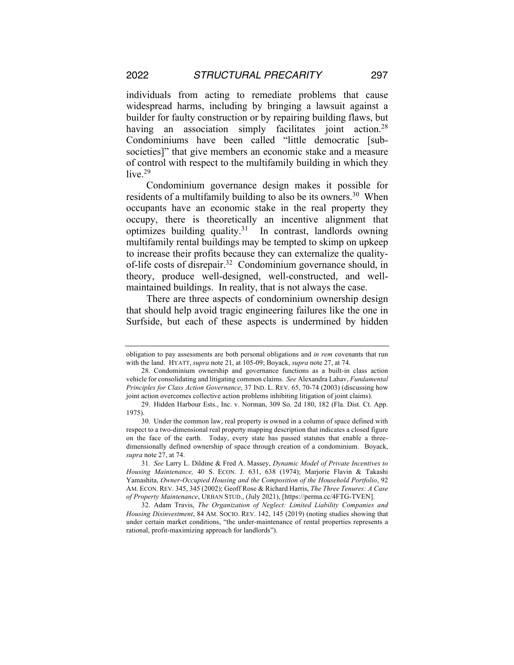individuals from acting to remediate problems that cause widespread harms, including by bringing a lawsuit against a builder for faulty construction or by repairing building flaws, but having an association simply facilitates joint action.<sup>28</sup> Condominiums have been called "little democratic [subsocieties]" that give members an economic stake and a measure of control with respect to the multifamily building in which they  $live<sup>.29</sup>$ 

Condominium governance design makes it possible for residents of a multifamily building to also be its owners.<sup>30</sup> When occupants have an economic stake in the real property they occupy, there is theoretically an incentive alignment that optimizes building quality.31 In contrast, landlords owning multifamily rental buildings may be tempted to skimp on upkeep to increase their profits because they can externalize the qualityof-life costs of disrepair.32 Condominium governance should, in theory, produce well-designed, well-constructed, and wellmaintained buildings. In reality, that is not always the case.

There are three aspects of condominium ownership design that should help avoid tragic engineering failures like the one in Surfside, but each of these aspects is undermined by hidden

obligation to pay assessments are both personal obligations and *in rem* covenants that run with the land. HYATT, *supra* note 21, at 105-09; Boyack, *supra* note 27, at 74.

<sup>28.</sup> Condominium ownership and governance functions as a built-in class action vehicle for consolidating and litigating common claims. *See* Alexandra Lahav, *Fundamental Principles for Class Action Governance*, 37 IND. L. REV. 65, 70-74 (2003) (discussing how joint action overcomes collective action problems inhibiting litigation of joint claims).

<sup>29.</sup> Hidden Harbour Ests., Inc. v. Norman, 309 So. 2d 180, 182 (Fla. Dist. Ct. App. 1975).

<sup>30.</sup> Under the common law, real property is owned in a column of space defined with respect to a two-dimensional real property mapping description that indicates a closed figure on the face of the earth. Today, every state has passed statutes that enable a threedimensionally defined ownership of space through creation of a condominium. Boyack, *supra* note 27, at 74.

<sup>31</sup>*. See* Larry L. Dildine & Fred A. Massey, *Dynamic Model of Private Incentives to Housing Maintenance,* 40 S. ECON. J. 631, 638 (1974); Marjorie Flavin & Takashi Yamashita, *Owner-Occupied Housing and the Composition of the Household Portfolio*, 92 AM. ECON. REV. 345, 345 (2002); Geoff Rose & Richard Harris, *The Three Tenures: A Case of Property Maintenance*, URBAN STUD., (July 2021), [https://perma.cc/4FTG-TVEN].

<sup>32.</sup> Adam Travis, *The Organization of Neglect: Limited Liability Companies and Housing Disinvestment*, 84 AM. SOCIO. REV. 142, 145 (2019) (noting studies showing that under certain market conditions, "the under-maintenance of rental properties represents a rational, profit-maximizing approach for landlords").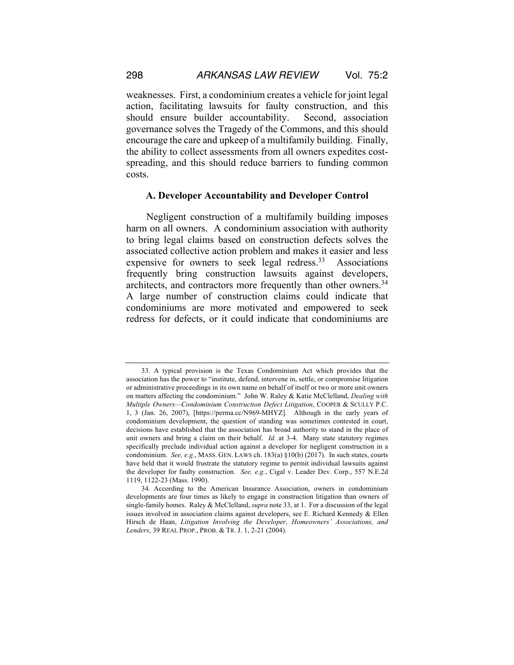weaknesses. First, a condominium creates a vehicle for joint legal action, facilitating lawsuits for faulty construction, and this should ensure builder accountability. Second, association governance solves the Tragedy of the Commons, and this should encourage the care and upkeep of a multifamily building. Finally, the ability to collect assessments from all owners expedites costspreading, and this should reduce barriers to funding common costs.

#### **A. Developer Accountability and Developer Control**

Negligent construction of a multifamily building imposes harm on all owners. A condominium association with authority to bring legal claims based on construction defects solves the associated collective action problem and makes it easier and less expensive for owners to seek legal redress.<sup>33</sup> Associations frequently bring construction lawsuits against developers, architects, and contractors more frequently than other owners.<sup>34</sup> A large number of construction claims could indicate that condominiums are more motivated and empowered to seek redress for defects, or it could indicate that condominiums are

<sup>33.</sup> A typical provision is the Texas Condominium Act which provides that the association has the power to "institute, defend, intervene in, settle, or compromise litigation or administrative proceedings in its own name on behalf of itself or two or more unit owners on matters affecting the condominium." John W. Raley & Katie McClelland, *Dealing with Multiple Owners—Condominium Construction Defect Litigation*, COOPER & SCULLY P.C. 1, 3 (Jan. 26, 2007), [https://perma.cc/N969-MHYZ]. Although in the early years of condominium development, the question of standing was sometimes contested in court, decisions have established that the association has broad authority to stand in the place of unit owners and bring a claim on their behalf. *Id.* at 3-4.Many state statutory regimes specifically preclude individual action against a developer for negligent construction in a condominium. *See, e.g.*, MASS. GEN. LAWS ch. 183(a) §10(b) (2017). In such states, courts have held that it would frustrate the statutory regime to permit individual lawsuits against the developer for faulty construction. *See, e.g.*, Cigal v. Leader Dev. Corp., 557 N.E.2d 1119, 1122-23 (Mass. 1990).

<sup>34.</sup> According to the American Insurance Association, owners in condominium developments are four times as likely to engage in construction litigation than owners of single-family homes. Raley & McClelland, *supra* note 33, at 1. For a discussion of the legal issues involved in association claims against developers, see E. Richard Kennedy & Ellen Hirsch de Haan, *Litigation Involving the Developer, Homeowners' Associations, and Lenders*, 39 REAL PROP., PROB. & TR. J. 1, 2-21 (2004).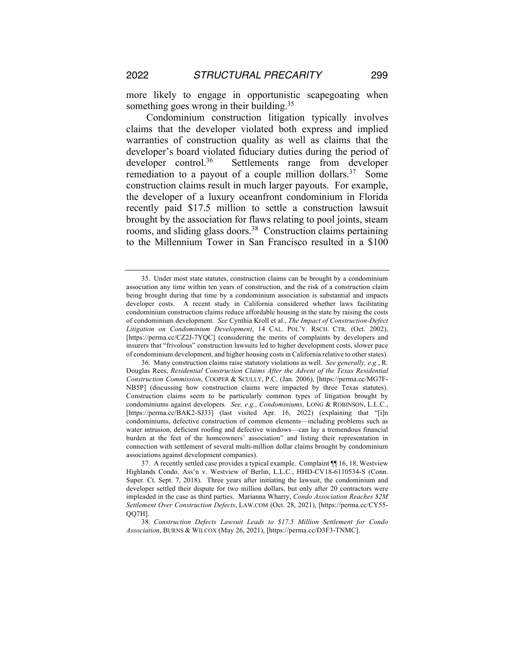more likely to engage in opportunistic scapegoating when something goes wrong in their building.<sup>35</sup>

Condominium construction litigation typically involves claims that the developer violated both express and implied warranties of construction quality as well as claims that the developer's board violated fiduciary duties during the period of developer control.<sup>36</sup> Settlements range from developer remediation to a payout of a couple million dollars.<sup>37</sup> Some construction claims result in much larger payouts. For example, the developer of a luxury oceanfront condominium in Florida recently paid \$17.5 million to settle a construction lawsuit brought by the association for flaws relating to pool joints, steam rooms, and sliding glass doors.<sup>38</sup> Construction claims pertaining to the Millennium Tower in San Francisco resulted in a \$100

<sup>35.</sup> Under most state statutes, construction claims can be brought by a condominium association any time within ten years of construction, and the risk of a construction claim being brought during that time by a condominium association is substantial and impacts developer costs. A recent study in California considered whether laws facilitating condominium construction claims reduce affordable housing in the state by raising the costs of condominium development. *See* Cynthia Kroll et al., *The Impact of Construction-Defect Litigation on Condominium Development*, 14 CAL. POL'Y. RSCH. CTR. (Oct. 2002), [https://perma.cc/CZ2J-7YQC] (considering the merits of complaints by developers and insurers that "frivolous" construction lawsuits led to higher development costs, slower pace of condominium development, and higher housing costs in California relative to other states).

<sup>36.</sup> Many construction claims raise statutory violations as well. *See generally, e.g.*, R. Douglas Rees, *Residential Construction Claims After the Advent of the Texas Residential Construction Commission*, COOPER & SCULLY, P.C. (Jan. 2006), [https://perma.cc/MG7F-NB5P] (discussing how construction claims were impacted by three Texas statutes). Construction claims seem to be particularly common types of litigation brought by condominiums against developers. *See, e.g.*, *Condominiums*, LONG & ROBINSON, L.L.C., [https://perma.cc/BAK2-SJ33] (last visited Apr. 16, 2022) (explaining that "[i]n condominiums, defective construction of common elements—including problems such as water intrusion, deficient roofing and defective windows—can lay a tremendous financial burden at the feet of the homeowners' association" and listing their representation in connection with settlement of several multi-million dollar claims brought by condominium associations against development companies).

<sup>37.</sup> A recently settled case provides a typical example. Complaint ¶¶ 16, 18, Westview Highlands Condo. Ass'n v. Westview of Berlin, L.L.C., HHD-CV18-6110534-S (Conn. Super. Ct. Sept. 7, 2018). Three years after initiating the lawsuit, the condominium and developer settled their dispute for two million dollars, but only after 20 contractors were impleaded in the case as third parties. Marianna Wharry, *Condo Association Reaches \$2M Settlement Over Construction Defects*, LAW.COM (Oct. 28, 2021), [https://perma.cc/CY55- QQ7H].

<sup>38</sup>*. Construction Defects Lawsuit Leads to \$17.5 Million Settlement for Condo Association*, BURNS & WILCOX (May 26, 2021), [https://perma.cc/D3F3-TNMC].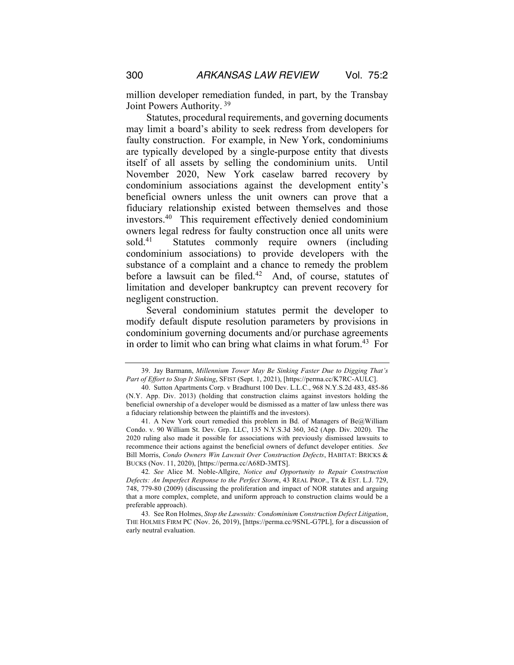million developer remediation funded, in part, by the Transbay Joint Powers Authority. <sup>39</sup>

Statutes, procedural requirements, and governing documents may limit a board's ability to seek redress from developers for faulty construction. For example, in New York, condominiums are typically developed by a single-purpose entity that divests itself of all assets by selling the condominium units. Until November 2020, New York caselaw barred recovery by condominium associations against the development entity's beneficial owners unless the unit owners can prove that a fiduciary relationship existed between themselves and those investors.40 This requirement effectively denied condominium owners legal redress for faulty construction once all units were sold.<sup>41</sup> Statutes commonly require owners (including condominium associations) to provide developers with the substance of a complaint and a chance to remedy the problem before a lawsuit can be filed.<sup>42</sup> And, of course, statutes of limitation and developer bankruptcy can prevent recovery for negligent construction.

Several condominium statutes permit the developer to modify default dispute resolution parameters by provisions in condominium governing documents and/or purchase agreements in order to limit who can bring what claims in what forum.<sup>43</sup> For

<sup>39.</sup> Jay Barmann, *Millennium Tower May Be Sinking Faster Due to Digging That's Part of Effort to Stop It Sinking*, SFIST (Sept. 1, 2021), [https://perma.cc/K7RC-AULC].

<sup>40.</sup> Sutton Apartments Corp. v Bradhurst 100 Dev. L.L.C., 968 N.Y.S.2d 483, 485-86 (N.Y. App. Div. 2013) (holding that construction claims against investors holding the beneficial ownership of a developer would be dismissed as a matter of law unless there was a fiduciary relationship between the plaintiffs and the investors).

<sup>41.</sup> A New York court remedied this problem in Bd. of Managers of  $Be@$ William Condo. v. 90 William St. Dev. Grp. LLC, 135 N.Y.S.3d 360, 362 (App. Div. 2020). The 2020 ruling also made it possible for associations with previously dismissed lawsuits to recommence their actions against the beneficial owners of defunct developer entities. *See*  Bill Morris, *Condo Owners Win Lawsuit Over Construction Defects*, HABITAT: BRICKS & BUCKS (Nov. 11, 2020), [https://perma.cc/A68D-3MTS].

<sup>42</sup>*. See* Alice M. Noble-Allgire, *Notice and Opportunity to Repair Construction Defects: An Imperfect Response to the Perfect Storm*, 43 REAL PROP., TR & EST. L.J. 729, 748, 779-80 (2009) (discussing the proliferation and impact of NOR statutes and arguing that a more complex, complete, and uniform approach to construction claims would be a preferable approach).

<sup>43</sup>*.* See Ron Holmes, *Stop the Lawsuits: Condominium Construction Defect Litigation*, THE HOLMES FIRM PC (Nov. 26, 2019), [https://perma.cc/9SNL-G7PL], for a discussion of early neutral evaluation.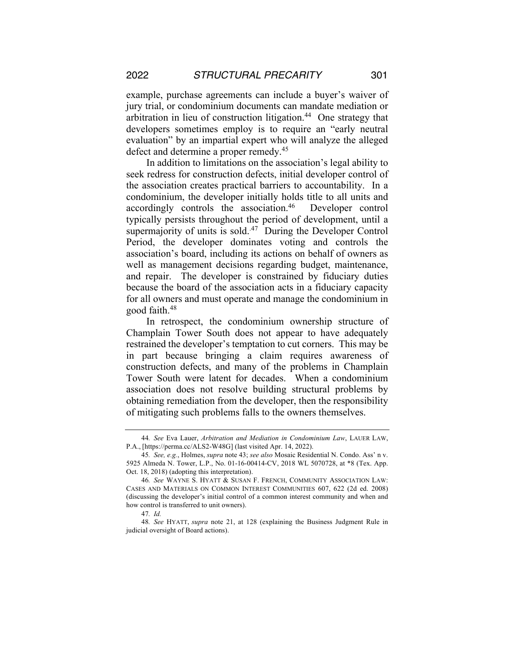example, purchase agreements can include a buyer's waiver of jury trial, or condominium documents can mandate mediation or arbitration in lieu of construction litigation.<sup>44</sup> One strategy that developers sometimes employ is to require an "early neutral evaluation" by an impartial expert who will analyze the alleged defect and determine a proper remedy.45

In addition to limitations on the association's legal ability to seek redress for construction defects, initial developer control of the association creates practical barriers to accountability. In a condominium, the developer initially holds title to all units and accordingly controls the association.46 Developer control typically persists throughout the period of development, until a supermajority of units is sold.<sup>47</sup> During the Developer Control Period, the developer dominates voting and controls the association's board, including its actions on behalf of owners as well as management decisions regarding budget, maintenance, and repair. The developer is constrained by fiduciary duties because the board of the association acts in a fiduciary capacity for all owners and must operate and manage the condominium in good faith.48

In retrospect, the condominium ownership structure of Champlain Tower South does not appear to have adequately restrained the developer's temptation to cut corners. This may be in part because bringing a claim requires awareness of construction defects, and many of the problems in Champlain Tower South were latent for decades. When a condominium association does not resolve building structural problems by obtaining remediation from the developer, then the responsibility of mitigating such problems falls to the owners themselves.

<sup>44</sup>*. See* Eva Lauer, *Arbitration and Mediation in Condominium Law*, LAUER LAW, P.A., [https://perma.cc/ALS2-W48G] (last visited Apr. 14, 2022).

<sup>45</sup>*. See, e.g.*, Holmes, *supra* note 43; *see also* Mosaic Residential N. Condo. Ass' n v. 5925 Almeda N. Tower, L.P., No. 01-16-00414-CV, 2018 WL 5070728, at \*8 (Tex. App. Oct. 18, 2018) (adopting this interpretation).

<sup>46</sup>*. See* WAYNE S. HYATT & SUSAN F. FRENCH, COMMUNITY ASSOCIATION LAW: CASES AND MATERIALS ON COMMON INTEREST COMMUNITIES 607, 622 (2d ed. 2008) (discussing the developer's initial control of a common interest community and when and how control is transferred to unit owners).

<sup>47</sup>*. Id.* 

<sup>48</sup>*. See* HYATT, *supra* note 21, at 128 (explaining the Business Judgment Rule in judicial oversight of Board actions).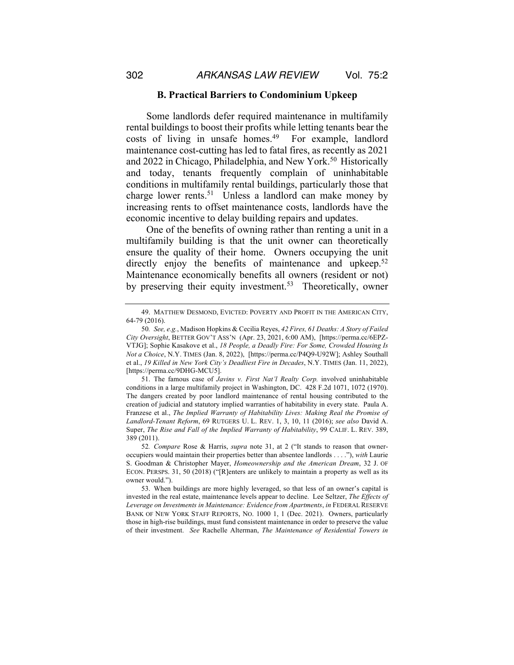#### **B. Practical Barriers to Condominium Upkeep**

Some landlords defer required maintenance in multifamily rental buildings to boost their profits while letting tenants bear the costs of living in unsafe homes.<sup>49</sup> For example, landlord maintenance cost-cutting has led to fatal fires, as recently as 2021 and 2022 in Chicago, Philadelphia, and New York.<sup>50</sup> Historically and today, tenants frequently complain of uninhabitable conditions in multifamily rental buildings, particularly those that charge lower rents.<sup>51</sup> Unless a landlord can make money by increasing rents to offset maintenance costs, landlords have the economic incentive to delay building repairs and updates.

One of the benefits of owning rather than renting a unit in a multifamily building is that the unit owner can theoretically ensure the quality of their home. Owners occupying the unit directly enjoy the benefits of maintenance and upkeep.<sup>52</sup> Maintenance economically benefits all owners (resident or not) by preserving their equity investment.<sup>53</sup> Theoretically, owner

<sup>49.</sup> MATTHEW DESMOND, EVICTED: POVERTY AND PROFIT IN THE AMERICAN CITY, 64-79 (2016).

<sup>50</sup>*. See, e.g.*, Madison Hopkins & Cecilia Reyes, *42 Fires, 61 Deaths: A Story of Failed City Oversight*, BETTER GOV'T ASS'N (Apr. 23, 2021, 6:00 AM), [https://perma.cc/6EPZ-VTJG]; Sophie Kasakove et al., *18 People, a Deadly Fire: For Some, Crowded Housing Is Not a Choice*, N.Y. TIMES (Jan. 8, 2022), [https://perma.cc/P4Q9-U92W]; Ashley Southall et al., *19 Killed in New York City's Deadliest Fire in Decades*, N.Y. TIMES (Jan. 11, 2022), [https://perma.cc/9DHG-MCU5].

<sup>51.</sup> The famous case of *Javins v. First Nat'l Realty Corp.* involved uninhabitable conditions in a large multifamily project in Washington, DC. 428 F.2d 1071, 1072 (1970). The dangers created by poor landlord maintenance of rental housing contributed to the creation of judicial and statutory implied warranties of habitability in every state. Paula A. Franzese et al., *The Implied Warranty of Habitability Lives: Making Real the Promise of Landlord-Tenant Reform*, 69 RUTGERS U. L. REV. 1, 3, 10, 11 (2016); *see also* David A. Super, *The Rise and Fall of the Implied Warranty of Habitability*, 99 CALIF. L. REV. 389, 389 (2011).

<sup>52</sup>*. Compare* Rose & Harris, *supra* note 31, at 2 ("It stands to reason that owneroccupiers would maintain their properties better than absentee landlords . . . ."), *with* Laurie S. Goodman & Christopher Mayer, *Homeownership and the American Dream*, 32 J. OF ECON. PERSPS. 31, 50 (2018) ("[R]enters are unlikely to maintain a property as well as its owner would.").

<sup>53.</sup> When buildings are more highly leveraged, so that less of an owner's capital is invested in the real estate, maintenance levels appear to decline. Lee Seltzer, *The Effects of Leverage on Investments in Maintenance: Evidence from Apartments*, *in* FEDERAL RESERVE BANK OF NEW YORK STAFF REPORTS, NO. 1000 1, 1 (Dec. 2021). Owners, particularly those in high-rise buildings, must fund consistent maintenance in order to preserve the value of their investment. *See* Rachelle Alterman, *The Maintenance of Residential Towers in*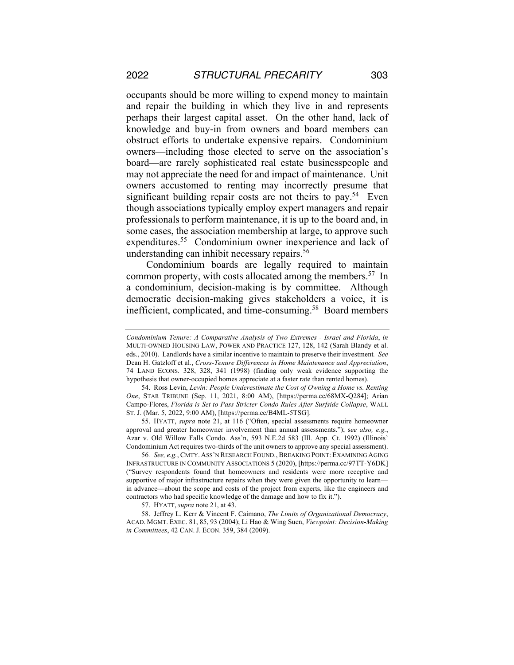occupants should be more willing to expend money to maintain and repair the building in which they live in and represents perhaps their largest capital asset. On the other hand, lack of knowledge and buy-in from owners and board members can obstruct efforts to undertake expensive repairs. Condominium owners—including those elected to serve on the association's board—are rarely sophisticated real estate businesspeople and may not appreciate the need for and impact of maintenance. Unit owners accustomed to renting may incorrectly presume that significant building repair costs are not theirs to pay.<sup>54</sup> Even though associations typically employ expert managers and repair professionals to perform maintenance, it is up to the board and, in some cases, the association membership at large, to approve such expenditures.<sup>55</sup> Condominium owner inexperience and lack of understanding can inhibit necessary repairs.<sup>56</sup>

Condominium boards are legally required to maintain common property, with costs allocated among the members.<sup>57</sup> In a condominium, decision-making is by committee. Although democratic decision-making gives stakeholders a voice, it is inefficient, complicated, and time-consuming.<sup>58</sup> Board members

55. HYATT, *supra* note 21, at 116 ("Often, special assessments require homeowner approval and greater homeowner involvement than annual assessments."); s*ee also, e.g.*, Azar v. Old Willow Falls Condo. Ass'n, 593 N.E.2d 583 (Ill. App. Ct. 1992) (Illinois' Condominium Act requires two-thirds of the unit owners to approve any special assessment).

56*. See, e.g.*, CMTY. ASS'N RESEARCH FOUND., BREAKING POINT: EXAMINING AGING INFRASTRUCTURE IN COMMUNITY ASSOCIATIONS 5 (2020), [https://perma.cc/97TT-Y6DK] ("Survey respondents found that homeowners and residents were more receptive and supportive of major infrastructure repairs when they were given the opportunity to learn in advance—about the scope and costs of the project from experts, like the engineers and contractors who had specific knowledge of the damage and how to fix it.").

58. Jeffrey L. Kerr & Vincent F. Caimano, *The Limits of Organizational Democracy*, ACAD. MGMT. EXEC. 81, 85, 93 (2004); Li Hao & Wing Suen, *Viewpoint: Decision-Making in Committees*, 42 CAN. J. ECON. 359, 384 (2009).

*Condominium Tenure: A Comparative Analysis of Two Extremes - Israel and Florida*, *in* MULTI-OWNED HOUSING LAW, POWER AND PRACTICE 127, 128, 142 (Sarah Blandy et al. eds., 2010). Landlords have a similar incentive to maintain to preserve their investment*. See*  Dean H. Gatzloff et al., *Cross-Tenure Differences in Home Maintenance and Appreciation*, 74 LAND ECONS. 328, 328, 341 (1998) (finding only weak evidence supporting the hypothesis that owner-occupied homes appreciate at a faster rate than rented homes).

<sup>54.</sup> Ross Levin, *Levin: People Underestimate the Cost of Owning a Home vs. Renting One*, STAR TRIBUNE (Sep. 11, 2021, 8:00 AM), [https://perma.cc/68MX-Q284]; Arian Campo-Flores, *Florida is Set to Pass Stricter Condo Rules After Surfside Collapse*, WALL ST. J. (Mar. 5, 2022, 9:00 AM), [https://perma.cc/B4ML-5TSG].

<sup>57.</sup> HYATT, *supra* note 21, at 43.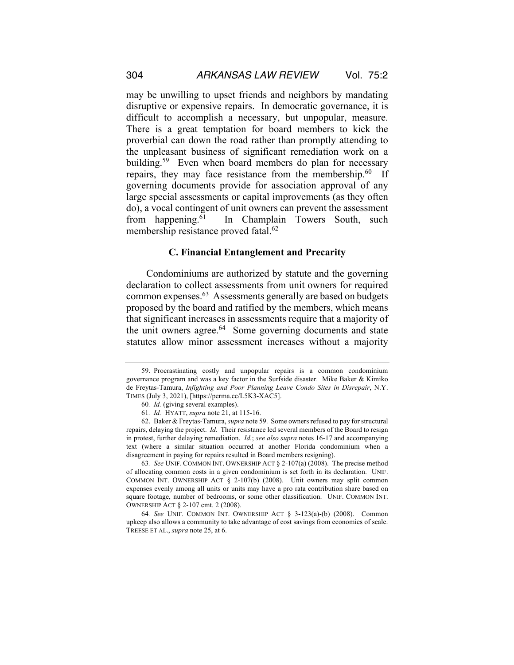may be unwilling to upset friends and neighbors by mandating disruptive or expensive repairs. In democratic governance, it is difficult to accomplish a necessary, but unpopular, measure. There is a great temptation for board members to kick the proverbial can down the road rather than promptly attending to the unpleasant business of significant remediation work on a building.<sup>59</sup> Even when board members do plan for necessary repairs, they may face resistance from the membership.<sup>60</sup> If governing documents provide for association approval of any large special assessments or capital improvements (as they often do), a vocal contingent of unit owners can prevent the assessment from happening.<sup>61</sup> In Champlain Towers South, such membership resistance proved fatal.<sup>62</sup>

#### **C. Financial Entanglement and Precarity**

Condominiums are authorized by statute and the governing declaration to collect assessments from unit owners for required common expenses.63 Assessments generally are based on budgets proposed by the board and ratified by the members, which means that significant increases in assessments require that a majority of the unit owners agree.<sup>64</sup> Some governing documents and state statutes allow minor assessment increases without a majority

<sup>59.</sup> Procrastinating costly and unpopular repairs is a common condominium governance program and was a key factor in the Surfside disaster. Mike Baker & Kimiko de Freytas-Tamura, *Infighting and Poor Planning Leave Condo Sites in Disrepair*, N.Y. TIMES (July 3, 2021), [https://perma.cc/L5K3-XAC5].

<sup>60</sup>*. Id.* (giving several examples).

<sup>61</sup>*. Id.* HYATT, *supra* note 21, at 115-16.

<sup>62.</sup> Baker & Freytas-Tamura, *supra* note 59. Some owners refused to pay for structural repairs, delaying the project. *Id.* Their resistance led several members of the Board to resign in protest, further delaying remediation. *Id.*; *see also supra* notes 16-17 and accompanying text (where a similar situation occurred at another Florida condominium when a disagreement in paying for repairs resulted in Board members resigning).

<sup>63</sup>*. See* UNIF. COMMON INT. OWNERSHIP ACT § 2-107(a) (2008). The precise method of allocating common costs in a given condominium is set forth in its declaration. UNIF. COMMON INT. OWNERSHIP ACT § 2-107(b) (2008). Unit owners may split common expenses evenly among all units or units may have a pro rata contribution share based on square footage, number of bedrooms, or some other classification. UNIF. COMMON INT. OWNERSHIP ACT § 2-107 cmt. 2 (2008).

<sup>64</sup>*. See* UNIF. COMMON INT. OWNERSHIP ACT § 3-123(a)-(b) (2008). Common upkeep also allows a community to take advantage of cost savings from economies of scale. TREESE ET AL., *supra* note 25, at 6.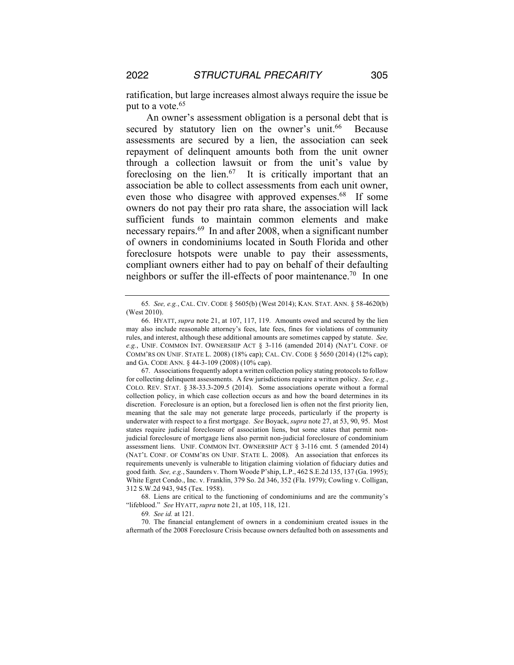ratification, but large increases almost always require the issue be put to a vote.<sup>65</sup>

An owner's assessment obligation is a personal debt that is secured by statutory lien on the owner's unit.<sup>66</sup> Because assessments are secured by a lien, the association can seek repayment of delinquent amounts both from the unit owner through a collection lawsuit or from the unit's value by foreclosing on the lien.<sup>67</sup> It is critically important that an association be able to collect assessments from each unit owner, even those who disagree with approved expenses.<sup>68</sup> If some owners do not pay their pro rata share, the association will lack sufficient funds to maintain common elements and make necessary repairs.69 In and after 2008, when a significant number of owners in condominiums located in South Florida and other foreclosure hotspots were unable to pay their assessments, compliant owners either had to pay on behalf of their defaulting neighbors or suffer the ill-effects of poor maintenance.<sup>70</sup> In one

<sup>65</sup>*. See, e.g.*, CAL. CIV. CODE § 5605(b) (West 2014); KAN. STAT. ANN. § 58-4620(b) (West 2010).

<sup>66.</sup> HYATT, *supra* note 21, at 107, 117, 119. Amounts owed and secured by the lien may also include reasonable attorney's fees, late fees, fines for violations of community rules, and interest, although these additional amounts are sometimes capped by statute. *See, e.g.*, UNIF. COMMON INT. OWNERSHIP ACT § 3-116 (amended 2014) (NAT'L CONF. OF COMM'RS ON UNIF. STATE L. 2008) (18% cap); CAL. CIV. CODE § 5650 (2014) (12% cap); and GA. CODE ANN. § 44-3-109 (2008) (10% cap).

<sup>67.</sup> Associations frequently adopt a written collection policy stating protocols to follow for collecting delinquent assessments. A few jurisdictions require a written policy. *See, e.g.*, COLO. REV. STAT. § 38-33.3-209.5 (2014). Some associations operate without a formal collection policy, in which case collection occurs as and how the board determines in its discretion. Foreclosure is an option, but a foreclosed lien is often not the first priority lien, meaning that the sale may not generate large proceeds, particularly if the property is underwater with respect to a first mortgage. *See* Boyack, *supra* note 27, at 53, 90, 95. Most states require judicial foreclosure of association liens, but some states that permit nonjudicial foreclosure of mortgage liens also permit non-judicial foreclosure of condominium assessment liens. UNIF. COMMON INT. OWNERSHIP ACT § 3-116 cmt. 5 (amended 2014) (NAT'L CONF. OF COMM'RS ON UNIF. STATE L. 2008). An association that enforces its requirements unevenly is vulnerable to litigation claiming violation of fiduciary duties and good faith. *See, e.g.*, Saunders v. Thorn Woode P'ship, L.P., 462 S.E.2d 135, 137 (Ga. 1995); White Egret Condo., Inc. v. Franklin, 379 So. 2d 346, 352 (Fla. 1979); Cowling v. Colligan, 312 S.W.2d 943, 945 (Tex. 1958).

<sup>68.</sup> Liens are critical to the functioning of condominiums and are the community's "lifeblood." *See* HYATT, *supra* note 21, at 105, 118, 121.

<sup>69</sup>*. See id.* at 121.

<sup>70.</sup> The financial entanglement of owners in a condominium created issues in the aftermath of the 2008 Foreclosure Crisis because owners defaulted both on assessments and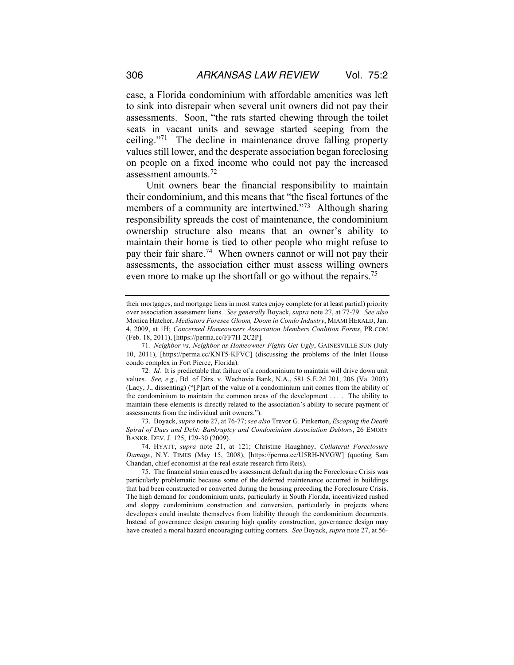case, a Florida condominium with affordable amenities was left to sink into disrepair when several unit owners did not pay their assessments. Soon, "the rats started chewing through the toilet seats in vacant units and sewage started seeping from the ceiling."71 The decline in maintenance drove falling property values still lower, and the desperate association began foreclosing on people on a fixed income who could not pay the increased assessment amounts.<sup>72</sup>

Unit owners bear the financial responsibility to maintain their condominium, and this means that "the fiscal fortunes of the members of a community are intertwined."73 Although sharing responsibility spreads the cost of maintenance, the condominium ownership structure also means that an owner's ability to maintain their home is tied to other people who might refuse to pay their fair share.<sup>74</sup> When owners cannot or will not pay their assessments, the association either must assess willing owners even more to make up the shortfall or go without the repairs.<sup>75</sup>

73. Boyack, *supra* note 27, at 76-77; *see also* Trevor G. Pinkerton, *Escaping the Death Spiral of Dues and Debt: Bankruptcy and Condominium Association Debtors*, 26 EMORY BANKR. DEV. J. 125, 129-30 (2009).

their mortgages, and mortgage liens in most states enjoy complete (or at least partial) priority over association assessment liens. *See generally* Boyack, *supra* note 27, at 77-79. *See also*  Monica Hatcher, *Mediators Foresee Gloom, Doom in Condo Industry*, MIAMI HERALD, Jan. 4, 2009, at 1H; *Concerned Homeowners Association Members Coalition Forms*, PR.COM (Feb. 18, 2011), [https://perma.cc/FF7H-2C2P].

<sup>71</sup>*. Neighbor vs. Neighbor as Homeowner Fights Get Ugly*, GAINESVILLE SUN (July 10, 2011), [https://perma.cc/KNT5-KFVC] (discussing the problems of the Inlet House condo complex in Fort Pierce, Florida).

<sup>72</sup>*. Id.* It is predictable that failure of a condominium to maintain will drive down unit values. *See, e.g.*, Bd. of Dirs. v. Wachovia Bank, N.A., 581 S.E.2d 201, 206 (Va. 2003) (Lacy, J., dissenting) ("[P]art of the value of a condominium unit comes from the ability of the condominium to maintain the common areas of the development . . . . The ability to maintain these elements is directly related to the association's ability to secure payment of assessments from the individual unit owners.").

<sup>74.</sup> HYATT, *supra* note 21, at 121; Christine Haughney, *Collateral Foreclosure Damage*, N.Y. TIMES (May 15, 2008), [https://perma.cc/U5RH-NVGW] (quoting Sam Chandan, chief economist at the real estate research firm Reis)*.*

<sup>75.</sup> The financial strain caused by assessment default during the Foreclosure Crisis was particularly problematic because some of the deferred maintenance occurred in buildings that had been constructed or converted during the housing preceding the Foreclosure Crisis. The high demand for condominium units, particularly in South Florida, incentivized rushed and sloppy condominium construction and conversion, particularly in projects where developers could insulate themselves from liability through the condominium documents. Instead of governance design ensuring high quality construction, governance design may have created a moral hazard encouraging cutting corners. *See* Boyack, *supra* note 27, at 56-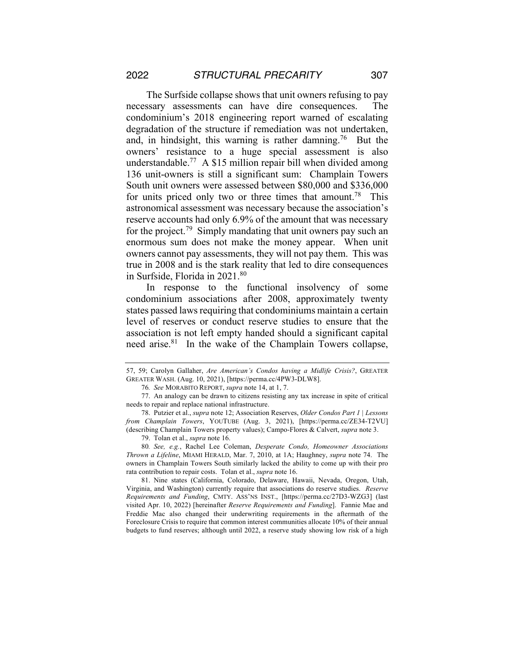The Surfside collapse shows that unit owners refusing to pay necessary assessments can have dire consequences. The condominium's 2018 engineering report warned of escalating degradation of the structure if remediation was not undertaken, and, in hindsight, this warning is rather damning.<sup>76</sup> But the owners' resistance to a huge special assessment is also understandable.<sup>77</sup> A \$15 million repair bill when divided among 136 unit-owners is still a significant sum: Champlain Towers South unit owners were assessed between \$80,000 and \$336,000 for units priced only two or three times that amount.<sup>78</sup> This astronomical assessment was necessary because the association's reserve accounts had only 6.9% of the amount that was necessary for the project.<sup>79</sup> Simply mandating that unit owners pay such an enormous sum does not make the money appear. When unit owners cannot pay assessments, they will not pay them. This was true in 2008 and is the stark reality that led to dire consequences in Surfside, Florida in 2021.80

In response to the functional insolvency of some condominium associations after 2008, approximately twenty states passed laws requiring that condominiums maintain a certain level of reserves or conduct reserve studies to ensure that the association is not left empty handed should a significant capital need arise.<sup>81</sup> In the wake of the Champlain Towers collapse,

<sup>57, 59;</sup> Carolyn Gallaher, *Are American's Condos having a Midlife Crisis?*, GREATER GREATER WASH. (Aug. 10, 2021), [https://perma.cc/4PW3-DLW8].

<sup>76</sup>*. See* MORABITO REPORT, *supra* note 14, at 1, 7.

<sup>77.</sup> An analogy can be drawn to citizens resisting any tax increase in spite of critical needs to repair and replace national infrastructure.

<sup>78.</sup> Putzier et al., *supra* note 12; Association Reserves, *Older Condos Part 1 | Lessons from Champlain Towers*, YOUTUBE (Aug. 3, 2021), [https://perma.cc/ZE34-T2VU] (describing Champlain Towers property values); Campo-Flores & Calvert, *supra* note 3.

<sup>79.</sup> Tolan et al., *supra* note 16.

<sup>80</sup>*. See, e.g.*, Rachel Lee Coleman, *Desperate Condo, Homeowner Associations Thrown a Lifeline*, MIAMI HERALD, Mar. 7, 2010, at 1A; Haughney, *supra* note 74. The owners in Champlain Towers South similarly lacked the ability to come up with their pro rata contribution to repair costs. Tolan et al., *supra* note 16.

<sup>81.</sup> Nine states (California, Colorado, Delaware, Hawaii, Nevada, Oregon, Utah, Virginia, and Washington) currently require that associations do reserve studies. *Reserve Requirements and Funding*, CMTY. ASS'NS INST., [https://perma.cc/27D3-WZG3] (last visited Apr. 10, 2022) [hereinafter *Reserve Requirements and Funding*]. Fannie Mae and Freddie Mac also changed their underwriting requirements in the aftermath of the Foreclosure Crisis to require that common interest communities allocate 10% of their annual budgets to fund reserves; although until 2022, a reserve study showing low risk of a high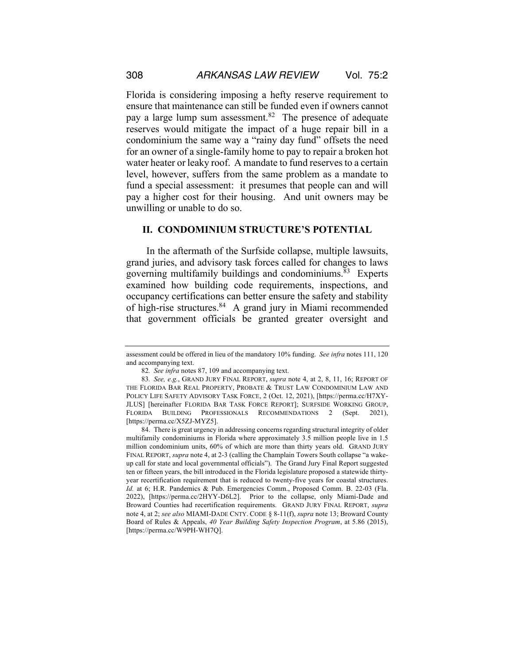Florida is considering imposing a hefty reserve requirement to ensure that maintenance can still be funded even if owners cannot pay a large lump sum assessment. $82$  The presence of adequate reserves would mitigate the impact of a huge repair bill in a condominium the same way a "rainy day fund" offsets the need for an owner of a single-family home to pay to repair a broken hot water heater or leaky roof. A mandate to fund reserves to a certain level, however, suffers from the same problem as a mandate to fund a special assessment: it presumes that people can and will pay a higher cost for their housing. And unit owners may be unwilling or unable to do so.

#### **II. CONDOMINIUM STRUCTURE'S POTENTIAL**

In the aftermath of the Surfside collapse, multiple lawsuits, grand juries, and advisory task forces called for changes to laws governing multifamily buildings and condominiums.83 Experts examined how building code requirements, inspections, and occupancy certifications can better ensure the safety and stability of high-rise structures.84 A grand jury in Miami recommended that government officials be granted greater oversight and

assessment could be offered in lieu of the mandatory 10% funding. *See infra* notes 111, 120 and accompanying text.

<sup>82</sup>*. See infra* notes 87, 109 and accompanying text.

<sup>83</sup>*. See, e.g.*, GRAND JURY FINAL REPORT, *supra* note 4, at 2, 8, 11, 16; REPORT OF THE FLORIDA BAR REAL PROPERTY, PROBATE & TRUST LAW CONDOMINIUM LAW AND POLICY LIFE SAFETY ADVISORY TASK FORCE, 2 (Oct. 12, 2021), [https://perma.cc/H7XY-JLUS] [hereinafter FLORIDA BAR TASK FORCE REPORT]; SURFSIDE WORKING GROUP, FLORIDA BUILDING PROFESSIONALS RECOMMENDATIONS 2 (Sept. 2021), [https://perma.cc/X5ZJ-MYZ5].

<sup>84.</sup> There is great urgency in addressing concerns regarding structural integrity of older multifamily condominiums in Florida where approximately 3.5 million people live in 1.5 million condominium units, 60% of which are more than thirty years old. GRAND JURY FINAL REPORT, *supra* note 4, at 2-3 (calling the Champlain Towers South collapse "a wakeup call for state and local governmental officials"). The Grand Jury Final Report suggested ten or fifteen years, the bill introduced in the Florida legislature proposed a statewide thirtyyear recertification requirement that is reduced to twenty-five years for coastal structures. *Id.* at 6; H.R. Pandemics & Pub. Emergencies Comm., Proposed Comm. B. 22-03 (Fla. 2022), [https://perma.cc/2HYY-D6L2]. Prior to the collapse, only Miami-Dade and Broward Counties had recertification requirements. GRAND JURY FINAL REPORT, *supra*  note 4, at 2; *see also* MIAMI-DADE CNTY. CODE § 8-11(f), *supra* note 13; Broward County Board of Rules & Appeals, *40 Year Building Safety Inspection Program*, at 5.86 (2015), [https://perma.cc/W9PH-WH7Q].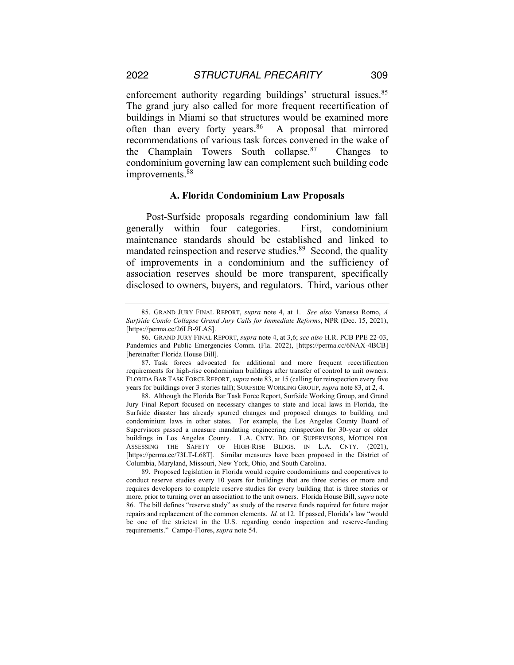enforcement authority regarding buildings' structural issues.<sup>85</sup> The grand jury also called for more frequent recertification of buildings in Miami so that structures would be examined more often than every forty years.<sup>86</sup> A proposal that mirrored recommendations of various task forces convened in the wake of the Champlain Towers South collapse.87 Changes to condominium governing law can complement such building code improvements.<sup>88</sup>

#### **A. Florida Condominium Law Proposals**

Post-Surfside proposals regarding condominium law fall generally within four categories. First, condominium maintenance standards should be established and linked to mandated reinspection and reserve studies.<sup>89</sup> Second, the quality of improvements in a condominium and the sufficiency of association reserves should be more transparent, specifically disclosed to owners, buyers, and regulators. Third, various other

<sup>85.</sup> GRAND JURY FINAL REPORT, *supra* note 4, at 1. *See also* Vanessa Romo, *A Surfside Condo Collapse Grand Jury Calls for Immediate Reforms*, NPR (Dec. 15, 2021), [https://perma.cc/26LB-9LAS].

<sup>86.</sup> GRAND JURY FINAL REPORT, *supra* note 4, at 3,6; *see also* H.R. PCB PPE 22-03, Pandemics and Public Emergencies Comm. (Fla. 2022), [https://perma.cc/6NAX-4BCB] [hereinafter Florida House Bill].

<sup>87.</sup> Task forces advocated for additional and more frequent recertification requirements for high-rise condominium buildings after transfer of control to unit owners. FLORIDA BAR TASK FORCE REPORT, *supra* note 83, at 15 (calling for reinspection every five years for buildings over 3 stories tall); SURFSIDE WORKING GROUP, *supra* note 83, at 2, 4.

<sup>88.</sup> Although the Florida Bar Task Force Report, Surfside Working Group, and Grand Jury Final Report focused on necessary changes to state and local laws in Florida, the Surfside disaster has already spurred changes and proposed changes to building and condominium laws in other states. For example, the Los Angeles County Board of Supervisors passed a measure mandating engineering reinspection for 30-year or older buildings in Los Angeles County. L.A. CNTY. BD. OF SUPERVISORS, MOTION FOR ASSESSING THE SAFETY OF HIGH-RISE BLDGS. IN L.A. CNTY. (2021), [https://perma.cc/73LT-L68T]. Similar measures have been proposed in the District of Columbia, Maryland, Missouri, New York, Ohio, and South Carolina.

<sup>89.</sup> Proposed legislation in Florida would require condominiums and cooperatives to conduct reserve studies every 10 years for buildings that are three stories or more and requires developers to complete reserve studies for every building that is three stories or more, prior to turning over an association to the unit owners. Florida House Bill, *supra* note 86. The bill defines "reserve study" as study of the reserve funds required for future major repairs and replacement of the common elements. *Id.* at 12. If passed, Florida's law "would be one of the strictest in the U.S. regarding condo inspection and reserve-funding requirements." Campo-Flores, *supra* note 54.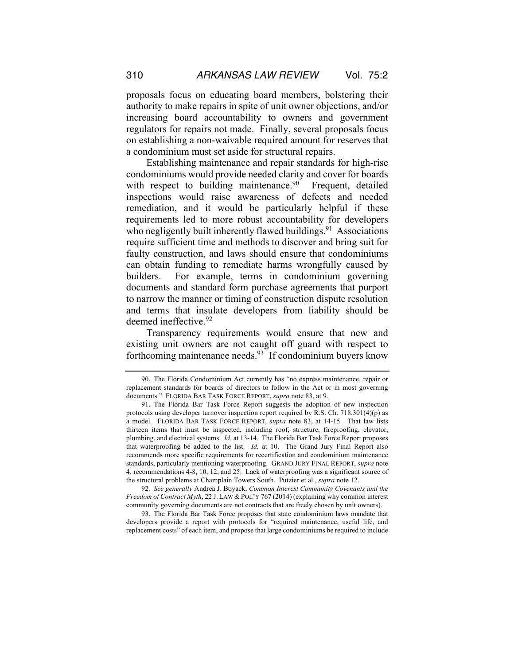proposals focus on educating board members, bolstering their authority to make repairs in spite of unit owner objections, and/or increasing board accountability to owners and government regulators for repairs not made. Finally, several proposals focus on establishing a non-waivable required amount for reserves that a condominium must set aside for structural repairs.

Establishing maintenance and repair standards for high-rise condominiums would provide needed clarity and cover for boards with respect to building maintenance.  $90$  Frequent, detailed inspections would raise awareness of defects and needed remediation, and it would be particularly helpful if these requirements led to more robust accountability for developers who negligently built inherently flawed buildings.<sup>91</sup> Associations require sufficient time and methods to discover and bring suit for faulty construction, and laws should ensure that condominiums can obtain funding to remediate harms wrongfully caused by builders. For example, terms in condominium governing documents and standard form purchase agreements that purport to narrow the manner or timing of construction dispute resolution and terms that insulate developers from liability should be deemed ineffective.92

Transparency requirements would ensure that new and existing unit owners are not caught off guard with respect to forthcoming maintenance needs.<sup>93</sup> If condominium buyers know

<sup>90.</sup> The Florida Condominium Act currently has "no express maintenance, repair or replacement standards for boards of directors to follow in the Act or in most governing documents." FLORIDA BAR TASK FORCE REPORT, *supra* note 83, at 9.

<sup>91.</sup> The Florida Bar Task Force Report suggests the adoption of new inspection protocols using developer turnover inspection report required by R.S. Ch. 718.301(4)(p) as a model. FLORIDA BAR TASK FORCE REPORT, *supra* note 83, at 14-15. That law lists thirteen items that must be inspected, including roof, structure, fireproofing, elevator, plumbing, and electrical systems. *Id.* at 13-14. The Florida Bar Task Force Report proposes that waterproofing be added to the list. *Id.* at 10.The Grand Jury Final Report also recommends more specific requirements for recertification and condominium maintenance standards, particularly mentioning waterproofing. GRAND JURY FINAL REPORT, *supra* note 4, recommendations 4-8, 10, 12, and 25. Lack of waterproofing was a significant source of the structural problems at Champlain Towers South. Putzier et al., *supra* note 12.

<sup>92</sup>*. See generally* Andrea J. Boyack, *Common Interest Community Covenants and the Freedom of Contract Myth*, 22 J. LAW & POL'Y 767 (2014) (explaining why common interest community governing documents are not contracts that are freely chosen by unit owners).

<sup>93.</sup> The Florida Bar Task Force proposes that state condominium laws mandate that developers provide a report with protocols for "required maintenance, useful life, and replacement costs" of each item, and propose that large condominiums be required to include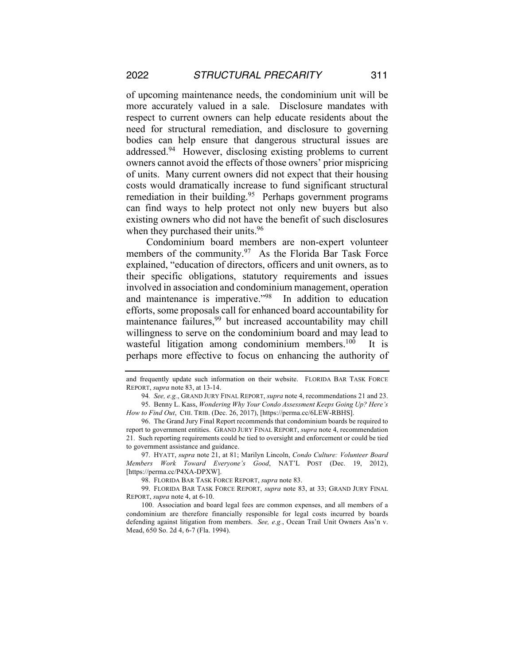of upcoming maintenance needs, the condominium unit will be more accurately valued in a sale. Disclosure mandates with respect to current owners can help educate residents about the need for structural remediation, and disclosure to governing bodies can help ensure that dangerous structural issues are addressed.94 However, disclosing existing problems to current owners cannot avoid the effects of those owners' prior mispricing of units. Many current owners did not expect that their housing costs would dramatically increase to fund significant structural remediation in their building.<sup>95</sup> Perhaps government programs can find ways to help protect not only new buyers but also existing owners who did not have the benefit of such disclosures when they purchased their units.<sup>96</sup>

Condominium board members are non-expert volunteer members of the community.<sup>97</sup> As the Florida Bar Task Force explained, "education of directors, officers and unit owners, as to their specific obligations, statutory requirements and issues involved in association and condominium management, operation and maintenance is imperative."98 In addition to education efforts, some proposals call for enhanced board accountability for maintenance failures,<sup>99</sup> but increased accountability may chill willingness to serve on the condominium board and may lead to wasteful litigation among condominium members.<sup>100</sup> It is perhaps more effective to focus on enhancing the authority of

and frequently update such information on their website. FLORIDA BAR TASK FORCE REPORT, *supra* note 83, at 13-14.

<sup>94</sup>*. See, e.g.*, GRAND JURY FINAL REPORT, *supra* note 4, recommendations 21 and 23. 95. Benny L. Kass, *Wondering Why Your Condo Assessment Keeps Going Up? Here's How to Find Out*, CHI. TRIB. (Dec. 26, 2017), [https://perma.cc/6LEW-RBHS].

<sup>96.</sup> The Grand Jury Final Report recommends that condominium boards be required to report to government entities. GRAND JURY FINAL REPORT, *supra* note 4, recommendation 21. Such reporting requirements could be tied to oversight and enforcement or could be tied to government assistance and guidance.

<sup>97.</sup> HYATT, *supra* note 21, at 81; Marilyn Lincoln, *Condo Culture: Volunteer Board Members Work Toward Everyone's Good*, NAT'L POST (Dec. 19, 2012), [https://perma.cc/P4XA-DPXW].

<sup>98.</sup> FLORIDA BAR TASK FORCE REPORT, *supra* note 83.

<sup>99.</sup> FLORIDA BAR TASK FORCE REPORT, *supra* note 83, at 33; GRAND JURY FINAL REPORT, *supra* note 4, at 6-10.

<sup>100.</sup> Association and board legal fees are common expenses, and all members of a condominium are therefore financially responsible for legal costs incurred by boards defending against litigation from members. *See, e.g.*, Ocean Trail Unit Owners Ass'n v. Mead, 650 So. 2d 4, 6-7 (Fla. 1994).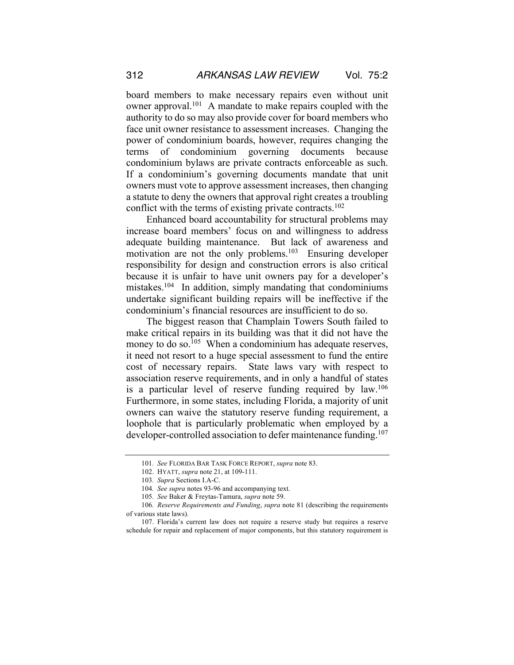board members to make necessary repairs even without unit owner approval.<sup>101</sup> A mandate to make repairs coupled with the authority to do so may also provide cover for board members who face unit owner resistance to assessment increases. Changing the power of condominium boards, however, requires changing the terms of condominium governing documents because condominium bylaws are private contracts enforceable as such. If a condominium's governing documents mandate that unit owners must vote to approve assessment increases, then changing a statute to deny the owners that approval right creates a troubling conflict with the terms of existing private contracts.<sup>102</sup>

Enhanced board accountability for structural problems may increase board members' focus on and willingness to address adequate building maintenance. But lack of awareness and motivation are not the only problems.<sup>103</sup> Ensuring developer responsibility for design and construction errors is also critical because it is unfair to have unit owners pay for a developer's mistakes.104 In addition, simply mandating that condominiums undertake significant building repairs will be ineffective if the condominium's financial resources are insufficient to do so.

The biggest reason that Champlain Towers South failed to make critical repairs in its building was that it did not have the money to do so.<sup>105</sup> When a condominium has adequate reserves, it need not resort to a huge special assessment to fund the entire cost of necessary repairs. State laws vary with respect to association reserve requirements, and in only a handful of states is a particular level of reserve funding required by law.<sup>106</sup> Furthermore, in some states, including Florida, a majority of unit owners can waive the statutory reserve funding requirement, a loophole that is particularly problematic when employed by a developer-controlled association to defer maintenance funding.<sup>107</sup>

<sup>101</sup>*. See* FLORIDA BAR TASK FORCE REPORT, *supra* note 83.

<sup>102.</sup> HYATT, *supra* note 21, at 109-111.

<sup>103</sup>*. Supra* Sections I.A-C.

<sup>104</sup>*. See supra* notes 93-96 and accompanying text.

<sup>105</sup>*. See* Baker & Freytas-Tamura, *supra* note 59.

<sup>106</sup>*. Reserve Requirements and Funding*, *supra* note 81 (describing the requirements of various state laws).

<sup>107.</sup> Florida's current law does not require a reserve study but requires a reserve schedule for repair and replacement of major components, but this statutory requirement is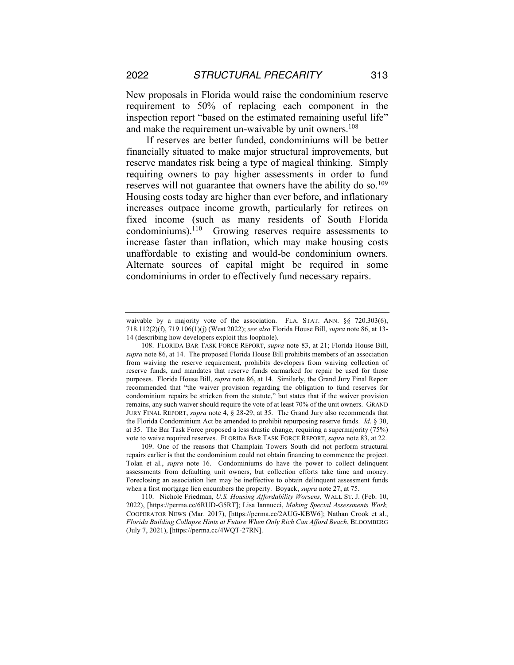New proposals in Florida would raise the condominium reserve requirement to 50% of replacing each component in the inspection report "based on the estimated remaining useful life" and make the requirement un-waivable by unit owners.<sup>108</sup>

If reserves are better funded, condominiums will be better financially situated to make major structural improvements, but reserve mandates risk being a type of magical thinking. Simply requiring owners to pay higher assessments in order to fund reserves will not guarantee that owners have the ability do so.<sup>109</sup> Housing costs today are higher than ever before, and inflationary increases outpace income growth, particularly for retirees on fixed income (such as many residents of South Florida condominiums).110 Growing reserves require assessments to increase faster than inflation, which may make housing costs unaffordable to existing and would-be condominium owners. Alternate sources of capital might be required in some condominiums in order to effectively fund necessary repairs.

waivable by a majority vote of the association. FLA. STAT. ANN. §§ 720.303(6), 718.112(2)(f), 719.106(1)(j) (West 2022); *see also* Florida House Bill, *supra* note 86, at 13- 14 (describing how developers exploit this loophole).

<sup>108.</sup> FLORIDA BAR TASK FORCE REPORT, *supra* note 83, at 21; Florida House Bill, *supra* note 86, at 14. The proposed Florida House Bill prohibits members of an association from waiving the reserve requirement, prohibits developers from waiving collection of reserve funds, and mandates that reserve funds earmarked for repair be used for those purposes. Florida House Bill, *supra* note 86, at 14. Similarly, the Grand Jury Final Report recommended that "the waiver provision regarding the obligation to fund reserves for condominium repairs be stricken from the statute," but states that if the waiver provision remains, any such waiver should require the vote of at least 70% of the unit owners. GRAND JURY FINAL REPORT, *supra* note 4, § 28-29, at 35. The Grand Jury also recommends that the Florida Condominium Act be amended to prohibit repurposing reserve funds. *Id*. § 30, at 35. The Bar Task Force proposed a less drastic change, requiring a supermajority (75%) vote to waive required reserves. FLORIDA BAR TASK FORCE REPORT, *supra* note 83, at 22.

<sup>109.</sup> One of the reasons that Champlain Towers South did not perform structural repairs earlier is that the condominium could not obtain financing to commence the project. Tolan et al., *supra* note 16. Condominiums do have the power to collect delinquent assessments from defaulting unit owners, but collection efforts take time and money. Foreclosing an association lien may be ineffective to obtain delinquent assessment funds when a first mortgage lien encumbers the property. Boyack, *supra* note 27, at 75.

<sup>110.</sup> Nichole Friedman, *U.S. Housing Affordability Worsens,* WALL ST. J. (Feb. 10, 2022), [https://perma.cc/6RUD-G5RT]; Lisa Iannucci, *Making Special Assessments Work,*  COOPERATOR NEWS (Mar. 2017), [https://perma.cc/2AUG-KBW6]; Nathan Crook et al., *Florida Building Collapse Hints at Future When Only Rich Can Afford Beach*, BLOOMBERG (July 7, 2021), [https://perma.cc/4WQT-27RN].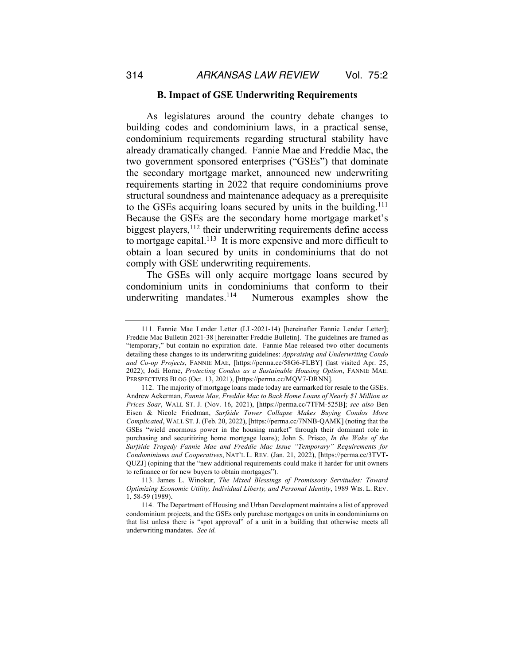#### **B. Impact of GSE Underwriting Requirements**

As legislatures around the country debate changes to building codes and condominium laws, in a practical sense, condominium requirements regarding structural stability have already dramatically changed. Fannie Mae and Freddie Mac, the two government sponsored enterprises ("GSEs") that dominate the secondary mortgage market, announced new underwriting requirements starting in 2022 that require condominiums prove structural soundness and maintenance adequacy as a prerequisite to the GSEs acquiring loans secured by units in the building.111 Because the GSEs are the secondary home mortgage market's biggest players,  $112$  their underwriting requirements define access to mortgage capital.<sup>113</sup> It is more expensive and more difficult to obtain a loan secured by units in condominiums that do not comply with GSE underwriting requirements.

The GSEs will only acquire mortgage loans secured by condominium units in condominiums that conform to their underwriting mandates.<sup>114</sup> Numerous examples show the

<sup>111.</sup> Fannie Mae Lender Letter (LL-2021-14) [hereinafter Fannie Lender Letter]; Freddie Mac Bulletin 2021-38 [hereinafter Freddie Bulletin]. The guidelines are framed as "temporary," but contain no expiration date. Fannie Mae released two other documents detailing these changes to its underwriting guidelines: *Appraising and Underwriting Condo and Co-op Projects*, FANNIE MAE, [https://perma.cc/58G6-FLBY] (last visited Apr. 25, 2022); Jodi Horne, *Protecting Condos as a Sustainable Housing Option*, FANNIE MAE: PERSPECTIVES BLOG (Oct. 13, 2021), [https://perma.cc/MQV7-DRNN].

<sup>112.</sup> The majority of mortgage loans made today are earmarked for resale to the GSEs. Andrew Ackerman, *Fannie Mae, Freddie Mac to Back Home Loans of Nearly \$1 Million as Prices Soar*, WALL ST. J. (Nov. 16, 2021), [https://perma.cc/7TFM-525B]; *see also* Ben Eisen & Nicole Friedman, *Surfside Tower Collapse Makes Buying Condos More Complicated*, WALL ST.J. (Feb. 20, 2022), [https://perma.cc/7NNB-QAMK] (noting that the GSEs "wield enormous power in the housing market" through their dominant role in purchasing and securitizing home mortgage loans); John S. Prisco, *In the Wake of the Surfside Tragedy Fannie Mae and Freddie Mac Issue "Temporary" Requirements for Condominiums and Cooperatives*, NAT'L L. REV. (Jan. 21, 2022), [https://perma.cc/3TVT-QUZJ] (opining that the "new additional requirements could make it harder for unit owners to refinance or for new buyers to obtain mortgages").

<sup>113.</sup> James L. Winokur, *The Mixed Blessings of Promissory Servitudes: Toward Optimizing Economic Utility, Individual Liberty, and Personal Identity*, 1989 WIS. L. REV. 1, 58-59 (1989).

<sup>114.</sup> The Department of Housing and Urban Development maintains a list of approved condominium projects, and the GSEs only purchase mortgages on units in condominiums on that list unless there is "spot approval" of a unit in a building that otherwise meets all underwriting mandates. *See id.*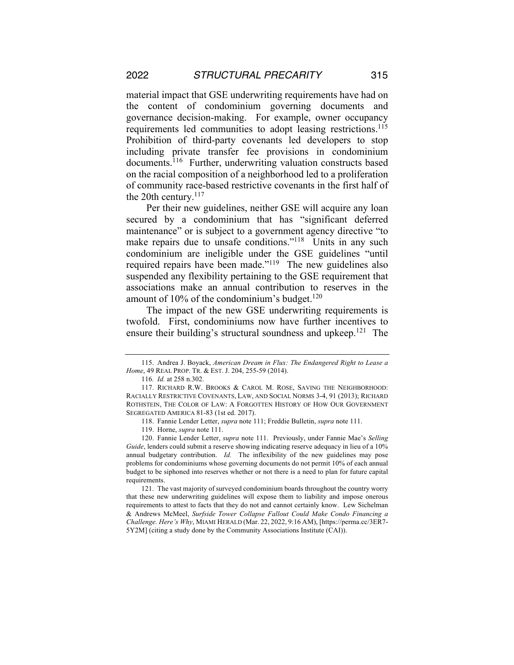material impact that GSE underwriting requirements have had on the content of condominium governing documents and governance decision-making. For example, owner occupancy requirements led communities to adopt leasing restrictions.<sup>115</sup> Prohibition of third-party covenants led developers to stop including private transfer fee provisions in condominium documents.<sup>116</sup> Further, underwriting valuation constructs based on the racial composition of a neighborhood led to a proliferation of community race-based restrictive covenants in the first half of the 20th century.117

Per their new guidelines, neither GSE will acquire any loan secured by a condominium that has "significant deferred maintenance" or is subject to a government agency directive "to make repairs due to unsafe conditions."<sup>118</sup> Units in any such condominium are ineligible under the GSE guidelines "until required repairs have been made."119 The new guidelines also suspended any flexibility pertaining to the GSE requirement that associations make an annual contribution to reserves in the amount of  $10\%$  of the condominium's budget.<sup>120</sup>

The impact of the new GSE underwriting requirements is twofold. First, condominiums now have further incentives to ensure their building's structural soundness and upkeep.<sup>121</sup> The

<sup>115.</sup> Andrea J. Boyack, *American Dream in Flux: The Endangered Right to Lease a Home*, 49 REAL PROP. TR. & EST. J. 204, 255-59 (2014).

<sup>116</sup>*. Id.* at 258 n.302.

<sup>117.</sup> RICHARD R.W. BROOKS & CAROL M. ROSE, SAVING THE NEIGHBORHOOD: RACIALLY RESTRICTIVE COVENANTS, LAW, AND SOCIAL NORMS 3-4, 91 (2013); RICHARD ROTHSTEIN, THE COLOR OF LAW: A FORGOTTEN HISTORY OF HOW OUR GOVERNMENT SEGREGATED AMERICA 81-83 (1st ed. 2017).

<sup>118.</sup> Fannie Lender Letter, *supra* note 111; Freddie Bulletin, *supra* note 111.

<sup>119.</sup> Horne, *supra* note 111.

<sup>120.</sup> Fannie Lender Letter, *supra* note 111. Previously, under Fannie Mae's *Selling Guide*, lenders could submit a reserve showing indicating reserve adequacy in lieu of a 10% annual budgetary contribution. *Id.* The inflexibility of the new guidelines may pose problems for condominiums whose governing documents do not permit 10% of each annual budget to be siphoned into reserves whether or not there is a need to plan for future capital requirements.

<sup>121.</sup> The vast majority of surveyed condominium boards throughout the country worry that these new underwriting guidelines will expose them to liability and impose onerous requirements to attest to facts that they do not and cannot certainly know. Lew Sichelman & Andrews McMeel, *Surfside Tower Collapse Fallout Could Make Condo Financing a Challenge. Here's Why*, MIAMI HERALD (Mar. 22, 2022, 9:16 AM), [https://perma.cc/3ER7- 5Y2M] (citing a study done by the Community Associations Institute (CAI)).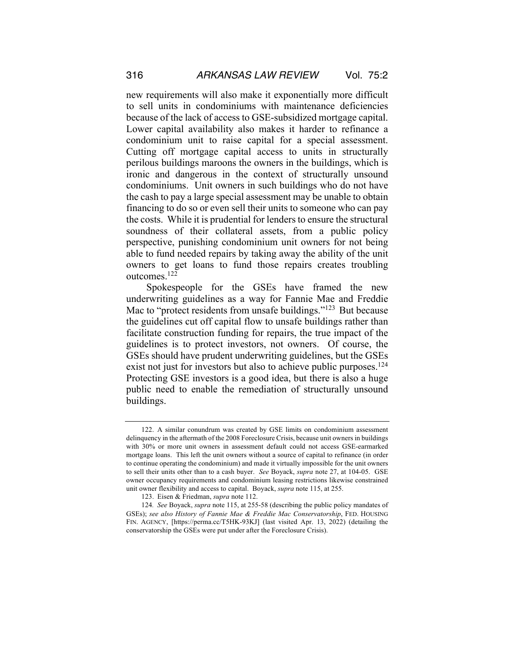new requirements will also make it exponentially more difficult to sell units in condominiums with maintenance deficiencies because of the lack of access to GSE-subsidized mortgage capital. Lower capital availability also makes it harder to refinance a condominium unit to raise capital for a special assessment. Cutting off mortgage capital access to units in structurally perilous buildings maroons the owners in the buildings, which is ironic and dangerous in the context of structurally unsound condominiums. Unit owners in such buildings who do not have the cash to pay a large special assessment may be unable to obtain financing to do so or even sell their units to someone who can pay the costs. While it is prudential for lenders to ensure the structural soundness of their collateral assets, from a public policy perspective, punishing condominium unit owners for not being able to fund needed repairs by taking away the ability of the unit owners to get loans to fund those repairs creates troubling outcomes.122

Spokespeople for the GSEs have framed the new underwriting guidelines as a way for Fannie Mae and Freddie Mac to "protect residents from unsafe buildings."<sup>123</sup> But because the guidelines cut off capital flow to unsafe buildings rather than facilitate construction funding for repairs, the true impact of the guidelines is to protect investors, not owners. Of course, the GSEs should have prudent underwriting guidelines, but the GSEs exist not just for investors but also to achieve public purposes.<sup>124</sup> Protecting GSE investors is a good idea, but there is also a huge public need to enable the remediation of structurally unsound buildings.

<sup>122.</sup> A similar conundrum was created by GSE limits on condominium assessment delinquency in the aftermath of the 2008 Foreclosure Crisis, because unit owners in buildings with 30% or more unit owners in assessment default could not access GSE-earmarked mortgage loans. This left the unit owners without a source of capital to refinance (in order to continue operating the condominium) and made it virtually impossible for the unit owners to sell their units other than to a cash buyer. *See* Boyack, *supra* note 27, at 104-05. GSE owner occupancy requirements and condominium leasing restrictions likewise constrained unit owner flexibility and access to capital. Boyack, *supra* note 115, at 255.

<sup>123.</sup> Eisen & Friedman, *supra* note 112.

<sup>124</sup>*. See* Boyack, *supra* note 115, at 255-58 (describing the public policy mandates of GSEs); *see also History of Fannie Mae & Freddie Mac Conservatorship*, FED. HOUSING FIN. AGENCY, [https://perma.cc/T5HK-93KJ] (last visited Apr. 13, 2022) (detailing the conservatorship the GSEs were put under after the Foreclosure Crisis).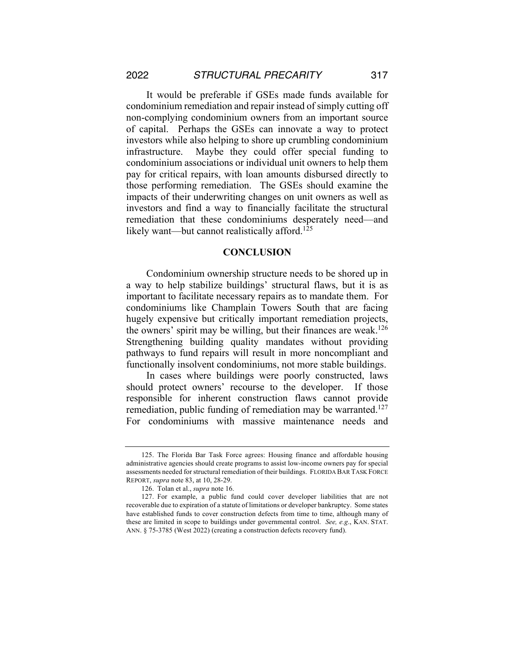It would be preferable if GSEs made funds available for condominium remediation and repair instead of simply cutting off non-complying condominium owners from an important source of capital. Perhaps the GSEs can innovate a way to protect investors while also helping to shore up crumbling condominium infrastructure. Maybe they could offer special funding to condominium associations or individual unit owners to help them pay for critical repairs, with loan amounts disbursed directly to those performing remediation. The GSEs should examine the impacts of their underwriting changes on unit owners as well as investors and find a way to financially facilitate the structural remediation that these condominiums desperately need—and likely want—but cannot realistically afford.<sup>125</sup>

#### **CONCLUSION**

Condominium ownership structure needs to be shored up in a way to help stabilize buildings' structural flaws, but it is as important to facilitate necessary repairs as to mandate them. For condominiums like Champlain Towers South that are facing hugely expensive but critically important remediation projects, the owners' spirit may be willing, but their finances are weak.<sup>126</sup> Strengthening building quality mandates without providing pathways to fund repairs will result in more noncompliant and functionally insolvent condominiums, not more stable buildings.

In cases where buildings were poorly constructed, laws should protect owners' recourse to the developer. If those responsible for inherent construction flaws cannot provide remediation, public funding of remediation may be warranted.<sup>127</sup> For condominiums with massive maintenance needs and

<sup>125.</sup> The Florida Bar Task Force agrees: Housing finance and affordable housing administrative agencies should create programs to assist low-income owners pay for special assessments needed for structural remediation of their buildings. FLORIDA BAR TASK FORCE REPORT, *supra* note 83, at 10, 28-29.

<sup>126.</sup> Tolan et al., *supra* note 16.

<sup>127.</sup> For example, a public fund could cover developer liabilities that are not recoverable due to expiration of a statute of limitations or developer bankruptcy. Some states have established funds to cover construction defects from time to time, although many of these are limited in scope to buildings under governmental control. *See, e.g*., KAN. STAT. ANN. § 75-3785 (West 2022) (creating a construction defects recovery fund).